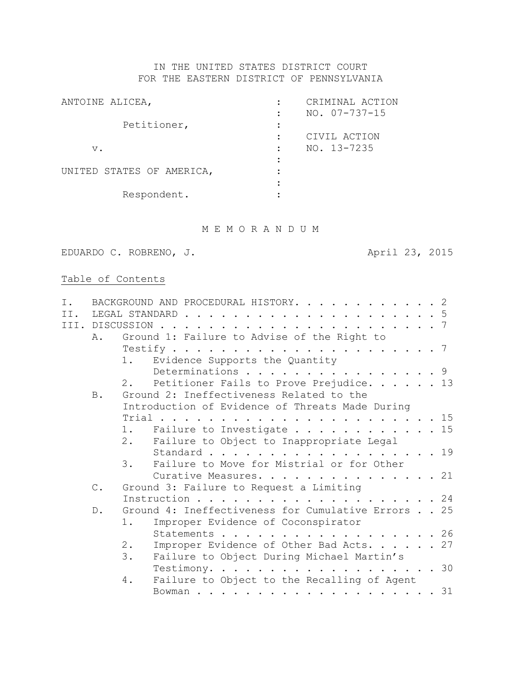# IN THE UNITED STATES DISTRICT COURT FOR THE EASTERN DISTRICT OF PENNSYLVANIA

| CRIMINAL ACTION     |
|---------------------|
| $NO. 07 - 737 - 15$ |
|                     |
| CIVIL ACTION        |
| NO. 13-7235         |
|                     |
|                     |
|                     |
|                     |
|                     |

# M E M O R A N D U M

EDUARDO C. ROBRENO, J. (2015)

# Table of Contents

| Ι.  |                | BACKGROUND AND PROCEDURAL HISTORY. 2                                                  |
|-----|----------------|---------------------------------------------------------------------------------------|
| II. |                | LEGAL STANDARD<br>. 5                                                                 |
|     |                | III. DISCUSSION<br>. 7<br>$\sim$ $\sim$ $\sim$                                        |
|     | Ά.             | Ground 1: Failure to Advise of the Right to                                           |
|     |                |                                                                                       |
|     |                | Evidence Supports the Quantity<br>1.                                                  |
|     |                | Determinations 9                                                                      |
|     |                | Petitioner Fails to Prove Prejudice. 13<br>2.1                                        |
|     | <b>B</b> .     | Ground 2: Ineffectiveness Related to the                                              |
|     |                | Introduction of Evidence of Threats Made During                                       |
|     |                | Trial<br>. 15                                                                         |
|     |                | Failure to Investigate 15<br>1.                                                       |
|     |                | 2.<br>Failure to Object to Inappropriate Legal                                        |
|     |                | Standard 19                                                                           |
|     |                | Failure to Move for Mistrial or for Other<br>3.                                       |
|     |                | Curative Measures. 21                                                                 |
|     | $\mathbb{C}$ . | Ground 3: Failure to Request a Limiting                                               |
|     |                | Instruction 24                                                                        |
|     | $D$ .          | Ground 4: Ineffectiveness for Cumulative Errors 25                                    |
|     |                | Improper Evidence of Coconspirator<br>$1$ .                                           |
|     |                | . 26<br>Statements<br>$\mathbf{r}$ and $\mathbf{r}$ and $\mathbf{r}$ and $\mathbf{r}$ |
|     |                | $2$ .<br>Improper Evidence of Other Bad Acts. 27                                      |
|     |                | 3.<br>Failure to Object During Michael Martin's                                       |
|     |                | Testimony. 30                                                                         |
|     |                | Failure to Object to the Recalling of Agent<br>4.                                     |
|     |                | 31                                                                                    |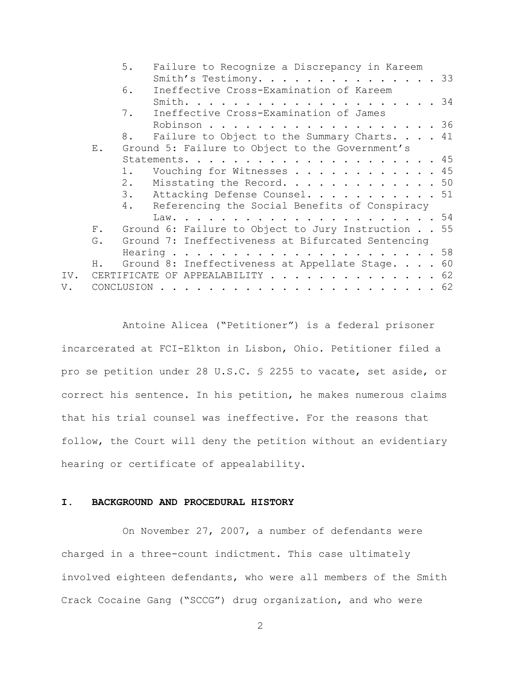|     |       | 5.         | Failure to Recognize a Discrepancy in Kareem          |  |  |  |  |  |
|-----|-------|------------|-------------------------------------------------------|--|--|--|--|--|
|     |       |            | Smith's Testimony. 33                                 |  |  |  |  |  |
|     |       | 6.         | Ineffective Cross-Examination of Kareem               |  |  |  |  |  |
|     |       |            |                                                       |  |  |  |  |  |
|     |       | 7.         | Ineffective Cross-Examination of James                |  |  |  |  |  |
|     |       |            | Robinson 36                                           |  |  |  |  |  |
|     |       | 8.         | Failure to Object to the Summary Charts. 41           |  |  |  |  |  |
|     | Ε.    |            | Ground 5: Failure to Object to the Government's       |  |  |  |  |  |
|     |       |            |                                                       |  |  |  |  |  |
|     |       | 1.         | Vouching for Witnesses 45                             |  |  |  |  |  |
|     |       |            | 2. Misstating the Record. 50                          |  |  |  |  |  |
|     |       |            | 3. Attacking Defense Counsel. 51                      |  |  |  |  |  |
|     |       |            | 4. Referencing the Social Benefits of Conspiracy      |  |  |  |  |  |
|     |       |            |                                                       |  |  |  |  |  |
|     |       |            | F. Ground 6: Failure to Object to Jury Instruction 55 |  |  |  |  |  |
|     | G.    |            | Ground 7: Ineffectiveness at Bifurcated Sentencing    |  |  |  |  |  |
|     |       |            |                                                       |  |  |  |  |  |
|     | $H$ . |            | Ground 8: Ineffectiveness at Appellate Stage. 60      |  |  |  |  |  |
| IV. |       |            | CERTIFICATE OF APPEALABILITY 62                       |  |  |  |  |  |
| V.  |       | CONCLUSION |                                                       |  |  |  |  |  |
|     |       |            |                                                       |  |  |  |  |  |

Antoine Alicea ("Petitioner") is a federal prisoner incarcerated at FCI-Elkton in Lisbon, Ohio. Petitioner filed a pro se petition under 28 U.S.C. § 2255 to vacate, set aside, or correct his sentence. In his petition, he makes numerous claims that his trial counsel was ineffective. For the reasons that follow, the Court will deny the petition without an evidentiary hearing or certificate of appealability.

# **I. BACKGROUND AND PROCEDURAL HISTORY**

On November 27, 2007, a number of defendants were charged in a three-count indictment. This case ultimately involved eighteen defendants, who were all members of the Smith Crack Cocaine Gang ("SCCG") drug organization, and who were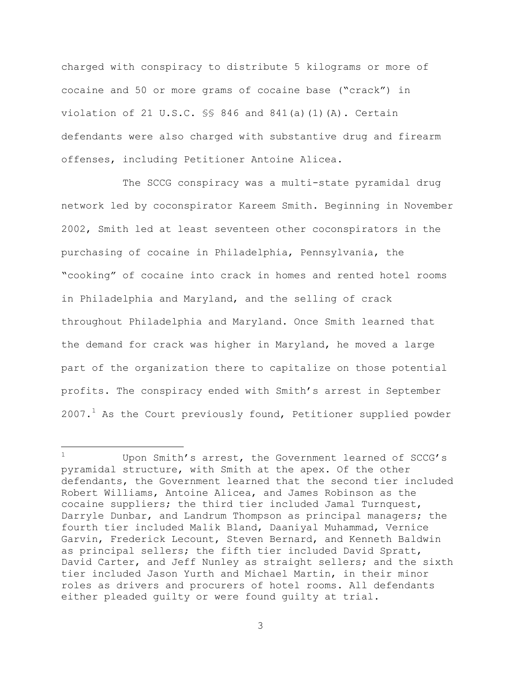charged with conspiracy to distribute 5 kilograms or more of cocaine and 50 or more grams of cocaine base ("crack") in violation of 21 U.S.C.  $\S$ § 846 and 841(a)(1)(A). Certain defendants were also charged with substantive drug and firearm offenses, including Petitioner Antoine Alicea.

The SCCG conspiracy was a multi-state pyramidal drug network led by coconspirator Kareem Smith. Beginning in November 2002, Smith led at least seventeen other coconspirators in the purchasing of cocaine in Philadelphia, Pennsylvania, the "cooking" of cocaine into crack in homes and rented hotel rooms in Philadelphia and Maryland, and the selling of crack throughout Philadelphia and Maryland. Once Smith learned that the demand for crack was higher in Maryland, he moved a large part of the organization there to capitalize on those potential profits. The conspiracy ended with Smith's arrest in September  $2007.1$  As the Court previously found, Petitioner supplied powder

a<br>B

Upon Smith's arrest, the Government learned of SCCG's pyramidal structure, with Smith at the apex. Of the other defendants, the Government learned that the second tier included Robert Williams, Antoine Alicea, and James Robinson as the cocaine suppliers; the third tier included Jamal Turnquest, Darryle Dunbar, and Landrum Thompson as principal managers; the fourth tier included Malik Bland, Daaniyal Muhammad, Vernice Garvin, Frederick Lecount, Steven Bernard, and Kenneth Baldwin as principal sellers; the fifth tier included David Spratt, David Carter, and Jeff Nunley as straight sellers; and the sixth tier included Jason Yurth and Michael Martin, in their minor roles as drivers and procurers of hotel rooms. All defendants either pleaded guilty or were found guilty at trial.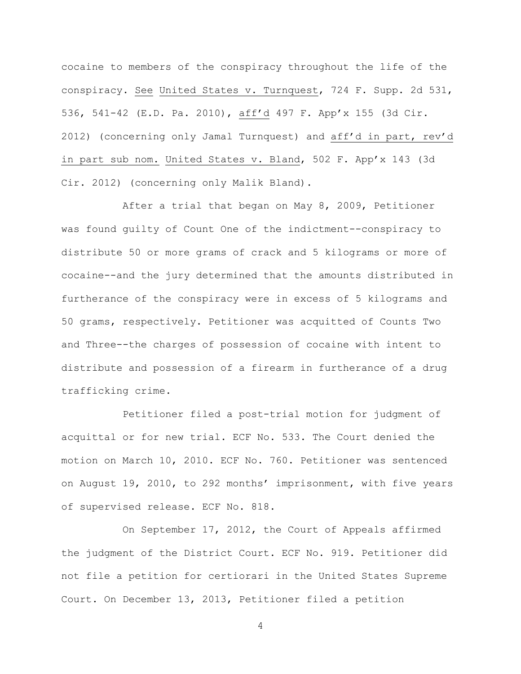cocaine to members of the conspiracy throughout the life of the conspiracy. See United States v. Turnquest, 724 F. Supp. 2d 531, 536, 541-42 (E.D. Pa. 2010), aff'd 497 F. App'x 155 (3d Cir. 2012) (concerning only Jamal Turnquest) and aff'd in part, rev'd in part sub nom. United States v. Bland, 502 F. App'x 143 (3d Cir. 2012) (concerning only Malik Bland).

After a trial that began on May 8, 2009, Petitioner was found guilty of Count One of the indictment--conspiracy to distribute 50 or more grams of crack and 5 kilograms or more of cocaine--and the jury determined that the amounts distributed in furtherance of the conspiracy were in excess of 5 kilograms and 50 grams, respectively. Petitioner was acquitted of Counts Two and Three--the charges of possession of cocaine with intent to distribute and possession of a firearm in furtherance of a drug trafficking crime.

Petitioner filed a post-trial motion for judgment of acquittal or for new trial. ECF No. 533. The Court denied the motion on March 10, 2010. ECF No. 760. Petitioner was sentenced on August 19, 2010, to 292 months' imprisonment, with five years of supervised release. ECF No. 818.

On September 17, 2012, the Court of Appeals affirmed the judgment of the District Court. ECF No. 919. Petitioner did not file a petition for certiorari in the United States Supreme Court. On December 13, 2013, Petitioner filed a petition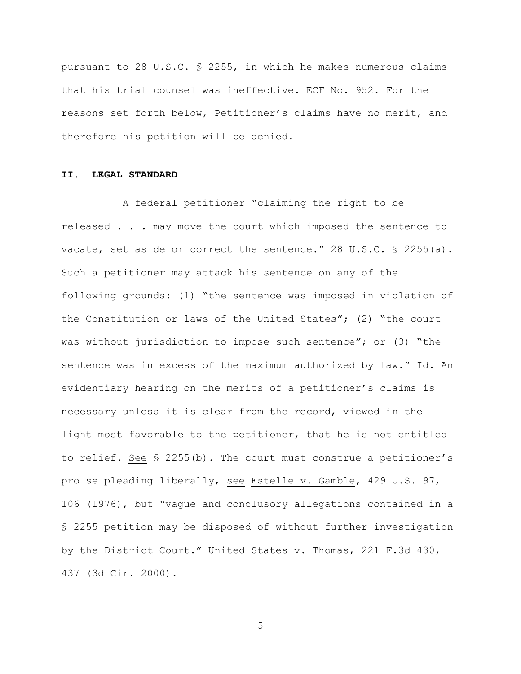pursuant to 28 U.S.C. § 2255, in which he makes numerous claims that his trial counsel was ineffective. ECF No. 952. For the reasons set forth below, Petitioner's claims have no merit, and therefore his petition will be denied.

# **II. LEGAL STANDARD**

A federal petitioner "claiming the right to be released . . . may move the court which imposed the sentence to vacate, set aside or correct the sentence." 28 U.S.C. § 2255(a). Such a petitioner may attack his sentence on any of the following grounds: (1) "the sentence was imposed in violation of the Constitution or laws of the United States"; (2) "the court was without jurisdiction to impose such sentence"; or  $(3)$  "the sentence was in excess of the maximum authorized by law." Id. An evidentiary hearing on the merits of a petitioner's claims is necessary unless it is clear from the record, viewed in the light most favorable to the petitioner, that he is not entitled to relief. See § 2255(b). The court must construe a petitioner's pro se pleading liberally, see Estelle v. Gamble, 429 U.S. 97, 106 (1976), but "vague and conclusory allegations contained in a § 2255 petition may be disposed of without further investigation by the District Court." United States v. Thomas, 221 F.3d 430, 437 (3d Cir. 2000).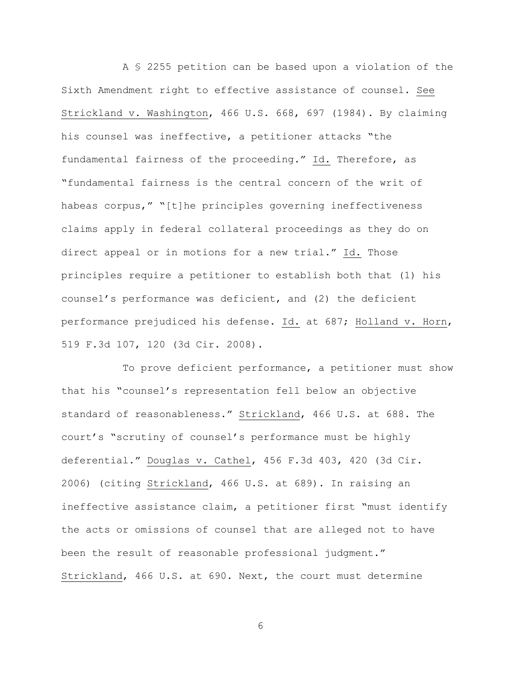A § 2255 petition can be based upon a violation of the Sixth Amendment right to effective assistance of counsel. See Strickland v. Washington, 466 U.S. 668, 697 (1984). By claiming his counsel was ineffective, a petitioner attacks "the fundamental fairness of the proceeding." Id. Therefore, as "fundamental fairness is the central concern of the writ of habeas corpus," "[t]he principles governing ineffectiveness claims apply in federal collateral proceedings as they do on direct appeal or in motions for a new trial." Id. Those principles require a petitioner to establish both that (1) his counsel's performance was deficient, and (2) the deficient performance prejudiced his defense. Id. at 687; Holland v. Horn, 519 F.3d 107, 120 (3d Cir. 2008).

To prove deficient performance, a petitioner must show that his "counsel's representation fell below an objective standard of reasonableness." Strickland, 466 U.S. at 688. The court's "scrutiny of counsel's performance must be highly deferential." Douglas v. Cathel, 456 F.3d 403, 420 (3d Cir. 2006) (citing Strickland, 466 U.S. at 689). In raising an ineffective assistance claim, a petitioner first "must identify the acts or omissions of counsel that are alleged not to have been the result of reasonable professional judgment." Strickland, 466 U.S. at 690. Next, the court must determine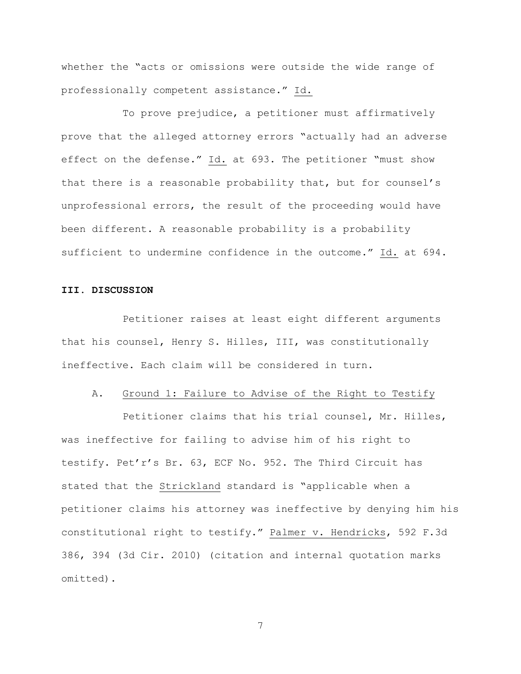whether the "acts or omissions were outside the wide range of professionally competent assistance." Id.

To prove prejudice, a petitioner must affirmatively prove that the alleged attorney errors "actually had an adverse effect on the defense." Id. at 693. The petitioner "must show that there is a reasonable probability that, but for counsel's unprofessional errors, the result of the proceeding would have been different. A reasonable probability is a probability sufficient to undermine confidence in the outcome." Id. at 694.

# **III. DISCUSSION**

Petitioner raises at least eight different arguments that his counsel, Henry S. Hilles, III, was constitutionally ineffective. Each claim will be considered in turn.

### A. Ground 1: Failure to Advise of the Right to Testify

Petitioner claims that his trial counsel, Mr. Hilles, was ineffective for failing to advise him of his right to testify. Pet'r's Br. 63, ECF No. 952. The Third Circuit has stated that the Strickland standard is "applicable when a petitioner claims his attorney was ineffective by denying him his constitutional right to testify." Palmer v. Hendricks, 592 F.3d 386, 394 (3d Cir. 2010) (citation and internal quotation marks omitted).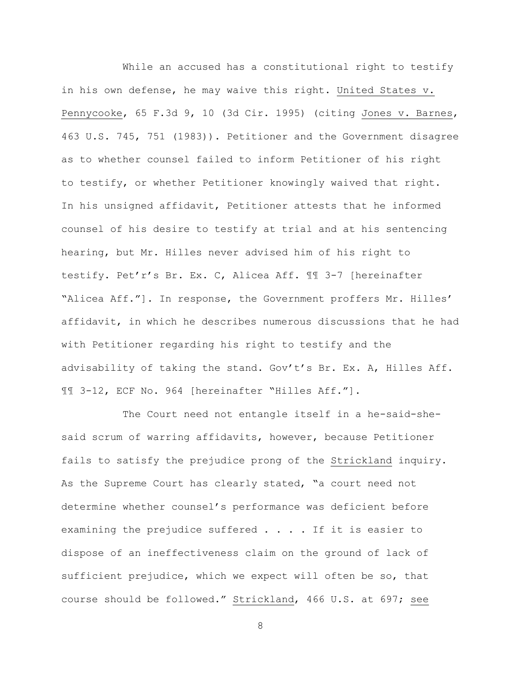While an accused has a constitutional right to testify in his own defense, he may waive this right. United States v. Pennycooke, 65 F.3d 9, 10 (3d Cir. 1995) (citing Jones v. Barnes, 463 U.S. 745, 751 (1983)). Petitioner and the Government disagree as to whether counsel failed to inform Petitioner of his right to testify, or whether Petitioner knowingly waived that right. In his unsigned affidavit, Petitioner attests that he informed counsel of his desire to testify at trial and at his sentencing hearing, but Mr. Hilles never advised him of his right to testify. Pet'r's Br. Ex. C, Alicea Aff. ¶¶ 3-7 [hereinafter "Alicea Aff."]. In response, the Government proffers Mr. Hilles' affidavit, in which he describes numerous discussions that he had with Petitioner regarding his right to testify and the advisability of taking the stand. Gov't's Br. Ex. A, Hilles Aff. ¶¶ 3-12, ECF No. 964 [hereinafter "Hilles Aff."].

The Court need not entangle itself in a he-said-shesaid scrum of warring affidavits, however, because Petitioner fails to satisfy the prejudice prong of the Strickland inquiry. As the Supreme Court has clearly stated, "a court need not determine whether counsel's performance was deficient before examining the prejudice suffered . . . . If it is easier to dispose of an ineffectiveness claim on the ground of lack of sufficient prejudice, which we expect will often be so, that course should be followed." Strickland, 466 U.S. at 697; see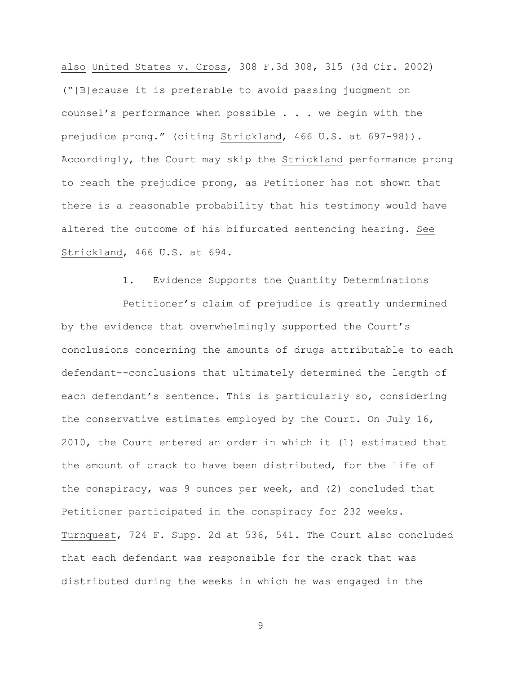also United States v. Cross, 308 F.3d 308, 315 (3d Cir. 2002) ("[B]ecause it is preferable to avoid passing judgment on counsel's performance when possible . . . we begin with the prejudice prong." (citing Strickland, 466 U.S. at 697-98)). Accordingly, the Court may skip the Strickland performance prong to reach the prejudice prong, as Petitioner has not shown that there is a reasonable probability that his testimony would have altered the outcome of his bifurcated sentencing hearing. See Strickland, 466 U.S. at 694.

# 1. Evidence Supports the Quantity Determinations

Petitioner's claim of prejudice is greatly undermined by the evidence that overwhelmingly supported the Court's conclusions concerning the amounts of drugs attributable to each defendant--conclusions that ultimately determined the length of each defendant's sentence. This is particularly so, considering the conservative estimates employed by the Court. On July 16, 2010, the Court entered an order in which it (1) estimated that the amount of crack to have been distributed, for the life of the conspiracy, was 9 ounces per week, and (2) concluded that Petitioner participated in the conspiracy for 232 weeks. Turnquest, 724 F. Supp. 2d at 536, 541. The Court also concluded that each defendant was responsible for the crack that was distributed during the weeks in which he was engaged in the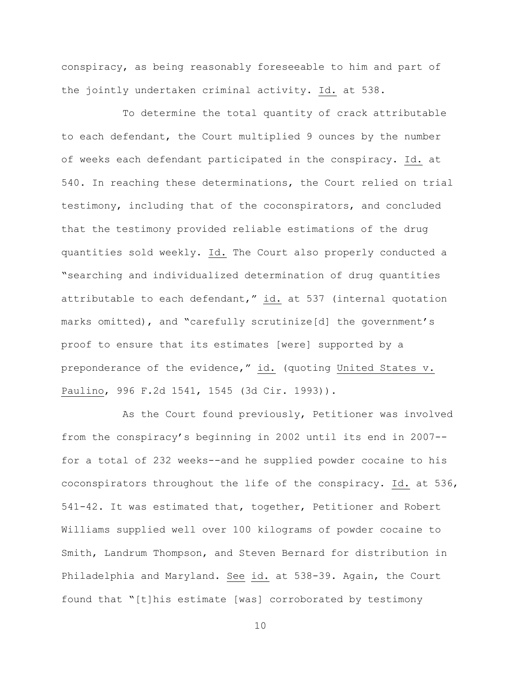conspiracy, as being reasonably foreseeable to him and part of the jointly undertaken criminal activity. Id. at 538.

To determine the total quantity of crack attributable to each defendant, the Court multiplied 9 ounces by the number of weeks each defendant participated in the conspiracy. Id. at 540. In reaching these determinations, the Court relied on trial testimony, including that of the coconspirators, and concluded that the testimony provided reliable estimations of the drug quantities sold weekly. Id. The Court also properly conducted a "searching and individualized determination of drug quantities attributable to each defendant," id. at 537 (internal quotation marks omitted), and "carefully scrutinize[d] the government's proof to ensure that its estimates [were] supported by a preponderance of the evidence," id. (quoting United States v. Paulino, 996 F.2d 1541, 1545 (3d Cir. 1993)).

As the Court found previously, Petitioner was involved from the conspiracy's beginning in 2002 until its end in 2007- for a total of 232 weeks--and he supplied powder cocaine to his coconspirators throughout the life of the conspiracy. Id. at 536, 541-42. It was estimated that, together, Petitioner and Robert Williams supplied well over 100 kilograms of powder cocaine to Smith, Landrum Thompson, and Steven Bernard for distribution in Philadelphia and Maryland. See id. at 538-39. Again, the Court found that "[t]his estimate [was] corroborated by testimony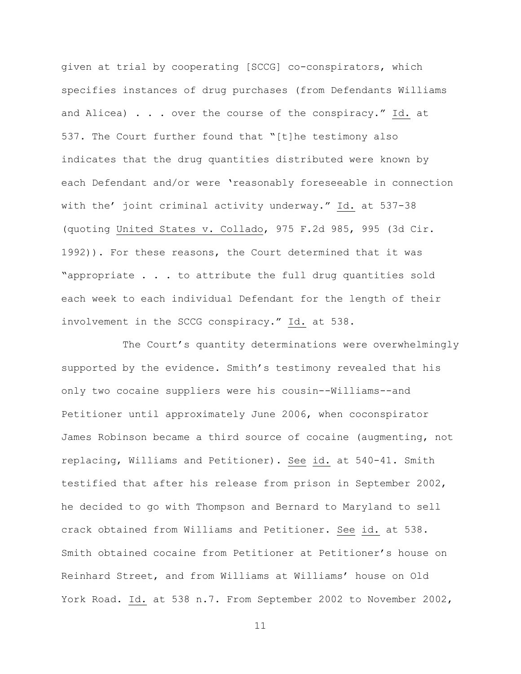given at trial by cooperating [SCCG] co-conspirators, which specifies instances of drug purchases (from Defendants Williams and Alicea) . . . over the course of the conspiracy." Id. at 537. The Court further found that "[t]he testimony also indicates that the drug quantities distributed were known by each Defendant and/or were 'reasonably foreseeable in connection with the' joint criminal activity underway." Id. at 537-38 (quoting United States v. Collado, 975 F.2d 985, 995 (3d Cir. 1992)). For these reasons, the Court determined that it was "appropriate . . . to attribute the full drug quantities sold each week to each individual Defendant for the length of their involvement in the SCCG conspiracy." Id. at 538.

The Court's quantity determinations were overwhelmingly supported by the evidence. Smith's testimony revealed that his only two cocaine suppliers were his cousin--Williams--and Petitioner until approximately June 2006, when coconspirator James Robinson became a third source of cocaine (augmenting, not replacing, Williams and Petitioner). See id. at 540-41. Smith testified that after his release from prison in September 2002, he decided to go with Thompson and Bernard to Maryland to sell crack obtained from Williams and Petitioner. See id. at 538. Smith obtained cocaine from Petitioner at Petitioner's house on Reinhard Street, and from Williams at Williams' house on Old York Road. Id. at 538 n.7. From September 2002 to November 2002,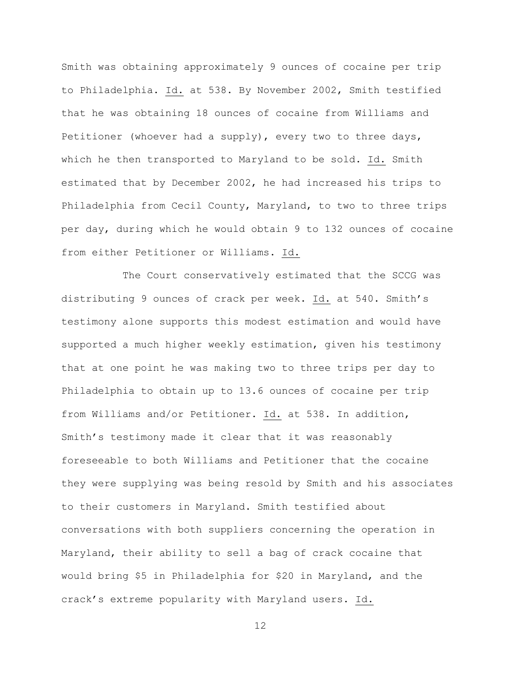Smith was obtaining approximately 9 ounces of cocaine per trip to Philadelphia. Id. at 538. By November 2002, Smith testified that he was obtaining 18 ounces of cocaine from Williams and Petitioner (whoever had a supply), every two to three days, which he then transported to Maryland to be sold. Id. Smith estimated that by December 2002, he had increased his trips to Philadelphia from Cecil County, Maryland, to two to three trips per day, during which he would obtain 9 to 132 ounces of cocaine from either Petitioner or Williams. Id.

The Court conservatively estimated that the SCCG was distributing 9 ounces of crack per week. Id. at 540. Smith's testimony alone supports this modest estimation and would have supported a much higher weekly estimation, given his testimony that at one point he was making two to three trips per day to Philadelphia to obtain up to 13.6 ounces of cocaine per trip from Williams and/or Petitioner. Id. at 538. In addition, Smith's testimony made it clear that it was reasonably foreseeable to both Williams and Petitioner that the cocaine they were supplying was being resold by Smith and his associates to their customers in Maryland. Smith testified about conversations with both suppliers concerning the operation in Maryland, their ability to sell a bag of crack cocaine that would bring \$5 in Philadelphia for \$20 in Maryland, and the crack's extreme popularity with Maryland users. Id.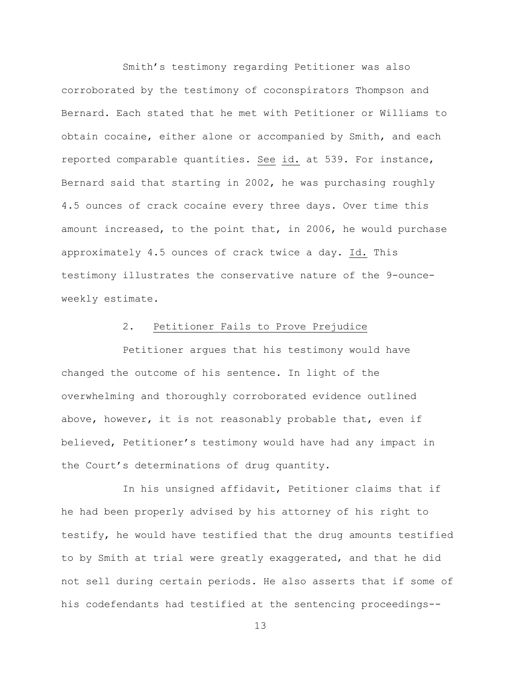Smith's testimony regarding Petitioner was also corroborated by the testimony of coconspirators Thompson and Bernard. Each stated that he met with Petitioner or Williams to obtain cocaine, either alone or accompanied by Smith, and each reported comparable quantities. See id. at 539. For instance, Bernard said that starting in 2002, he was purchasing roughly 4.5 ounces of crack cocaine every three days. Over time this amount increased, to the point that, in 2006, he would purchase approximately 4.5 ounces of crack twice a day. Id. This testimony illustrates the conservative nature of the 9-ounceweekly estimate.

## 2. Petitioner Fails to Prove Prejudice

Petitioner argues that his testimony would have changed the outcome of his sentence. In light of the overwhelming and thoroughly corroborated evidence outlined above, however, it is not reasonably probable that, even if believed, Petitioner's testimony would have had any impact in the Court's determinations of drug quantity.

In his unsigned affidavit, Petitioner claims that if he had been properly advised by his attorney of his right to testify, he would have testified that the drug amounts testified to by Smith at trial were greatly exaggerated, and that he did not sell during certain periods. He also asserts that if some of his codefendants had testified at the sentencing proceedings--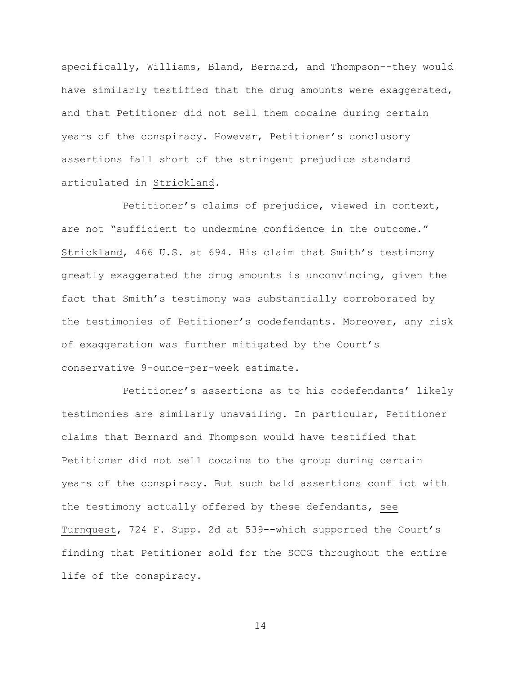specifically, Williams, Bland, Bernard, and Thompson--they would have similarly testified that the drug amounts were exaggerated, and that Petitioner did not sell them cocaine during certain years of the conspiracy. However, Petitioner's conclusory assertions fall short of the stringent prejudice standard articulated in Strickland.

Petitioner's claims of prejudice, viewed in context, are not "sufficient to undermine confidence in the outcome." Strickland, 466 U.S. at 694. His claim that Smith's testimony greatly exaggerated the drug amounts is unconvincing, given the fact that Smith's testimony was substantially corroborated by the testimonies of Petitioner's codefendants. Moreover, any risk of exaggeration was further mitigated by the Court's conservative 9-ounce-per-week estimate.

Petitioner's assertions as to his codefendants' likely testimonies are similarly unavailing. In particular, Petitioner claims that Bernard and Thompson would have testified that Petitioner did not sell cocaine to the group during certain years of the conspiracy. But such bald assertions conflict with the testimony actually offered by these defendants, see Turnquest, 724 F. Supp. 2d at 539--which supported the Court's finding that Petitioner sold for the SCCG throughout the entire life of the conspiracy.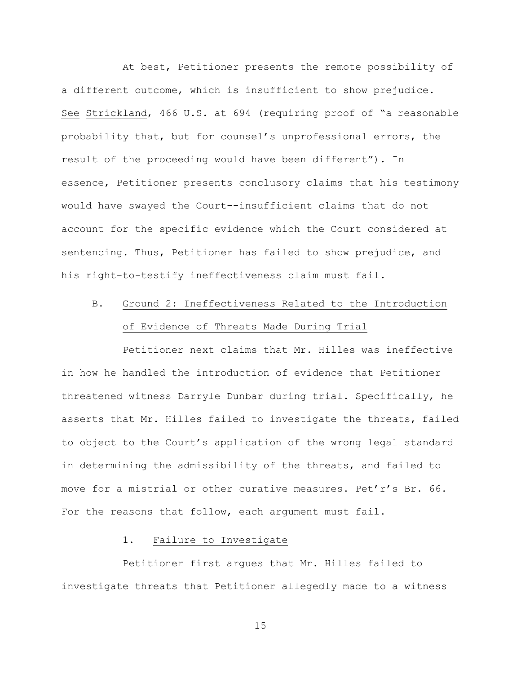At best, Petitioner presents the remote possibility of a different outcome, which is insufficient to show prejudice. See Strickland, 466 U.S. at 694 (requiring proof of "a reasonable probability that, but for counsel's unprofessional errors, the result of the proceeding would have been different"). In essence, Petitioner presents conclusory claims that his testimony would have swayed the Court--insufficient claims that do not account for the specific evidence which the Court considered at sentencing. Thus, Petitioner has failed to show prejudice, and his right-to-testify ineffectiveness claim must fail.

# B. Ground 2: Ineffectiveness Related to the Introduction of Evidence of Threats Made During Trial

Petitioner next claims that Mr. Hilles was ineffective in how he handled the introduction of evidence that Petitioner threatened witness Darryle Dunbar during trial. Specifically, he asserts that Mr. Hilles failed to investigate the threats, failed to object to the Court's application of the wrong legal standard in determining the admissibility of the threats, and failed to move for a mistrial or other curative measures. Pet'r's Br. 66. For the reasons that follow, each argument must fail.

# 1. Failure to Investigate

Petitioner first argues that Mr. Hilles failed to investigate threats that Petitioner allegedly made to a witness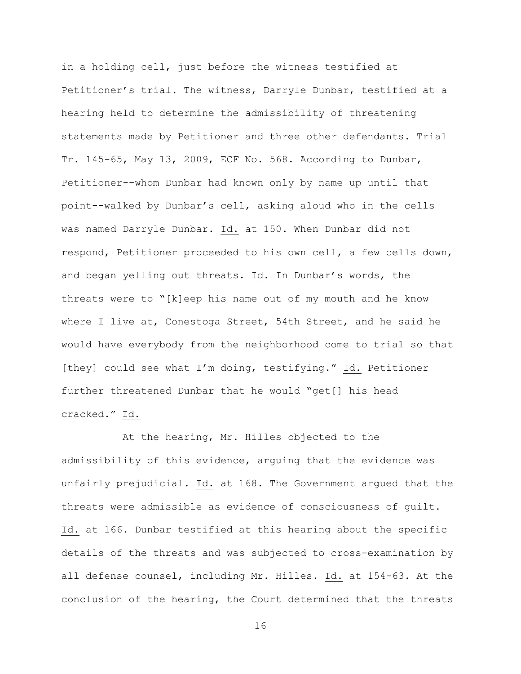in a holding cell, just before the witness testified at Petitioner's trial. The witness, Darryle Dunbar, testified at a hearing held to determine the admissibility of threatening statements made by Petitioner and three other defendants. Trial Tr. 145-65, May 13, 2009, ECF No. 568. According to Dunbar, Petitioner--whom Dunbar had known only by name up until that point--walked by Dunbar's cell, asking aloud who in the cells was named Darryle Dunbar. Id. at 150. When Dunbar did not respond, Petitioner proceeded to his own cell, a few cells down, and began yelling out threats. Id. In Dunbar's words, the threats were to "[k]eep his name out of my mouth and he know where I live at, Conestoga Street, 54th Street, and he said he would have everybody from the neighborhood come to trial so that [they] could see what I'm doing, testifying." Id. Petitioner further threatened Dunbar that he would "get[] his head cracked." Id.

At the hearing, Mr. Hilles objected to the admissibility of this evidence, arguing that the evidence was unfairly prejudicial. Id. at 168. The Government argued that the threats were admissible as evidence of consciousness of guilt. Id. at 166. Dunbar testified at this hearing about the specific details of the threats and was subjected to cross-examination by all defense counsel, including Mr. Hilles. Id. at 154-63. At the conclusion of the hearing, the Court determined that the threats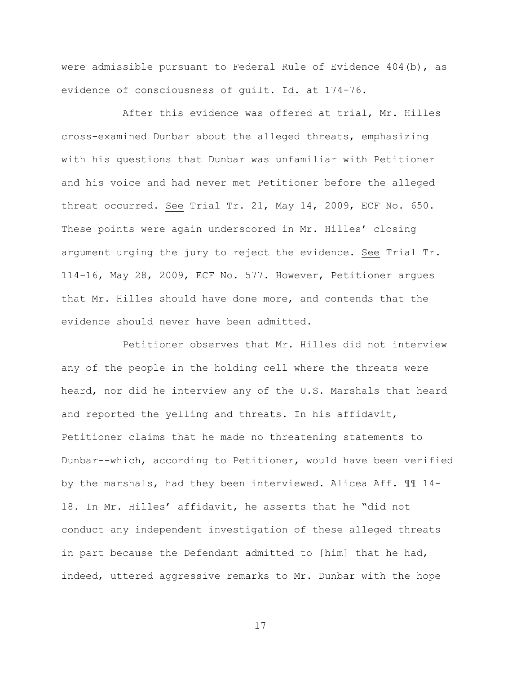were admissible pursuant to Federal Rule of Evidence 404(b), as evidence of consciousness of guilt. Id. at 174-76.

After this evidence was offered at trial, Mr. Hilles cross-examined Dunbar about the alleged threats, emphasizing with his questions that Dunbar was unfamiliar with Petitioner and his voice and had never met Petitioner before the alleged threat occurred. See Trial Tr. 21, May 14, 2009, ECF No. 650. These points were again underscored in Mr. Hilles' closing argument urging the jury to reject the evidence. See Trial Tr. 114-16, May 28, 2009, ECF No. 577. However, Petitioner argues that Mr. Hilles should have done more, and contends that the evidence should never have been admitted.

Petitioner observes that Mr. Hilles did not interview any of the people in the holding cell where the threats were heard, nor did he interview any of the U.S. Marshals that heard and reported the yelling and threats. In his affidavit, Petitioner claims that he made no threatening statements to Dunbar--which, according to Petitioner, would have been verified by the marshals, had they been interviewed. Alicea Aff. ¶¶ 14- 18. In Mr. Hilles' affidavit, he asserts that he "did not conduct any independent investigation of these alleged threats in part because the Defendant admitted to [him] that he had, indeed, uttered aggressive remarks to Mr. Dunbar with the hope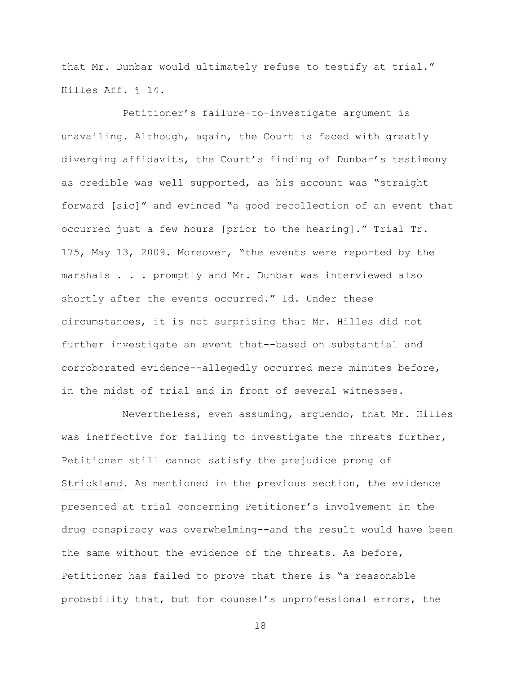that Mr. Dunbar would ultimately refuse to testify at trial." Hilles Aff. ¶ 14.

Petitioner's failure-to-investigate argument is unavailing. Although, again, the Court is faced with greatly diverging affidavits, the Court's finding of Dunbar's testimony as credible was well supported, as his account was "straight forward [sic]" and evinced "a good recollection of an event that occurred just a few hours [prior to the hearing]." Trial Tr. 175, May 13, 2009. Moreover, "the events were reported by the marshals . . . promptly and Mr. Dunbar was interviewed also shortly after the events occurred." Id. Under these circumstances, it is not surprising that Mr. Hilles did not further investigate an event that--based on substantial and corroborated evidence--allegedly occurred mere minutes before, in the midst of trial and in front of several witnesses.

Nevertheless, even assuming, arguendo, that Mr. Hilles was ineffective for failing to investigate the threats further, Petitioner still cannot satisfy the prejudice prong of Strickland. As mentioned in the previous section, the evidence presented at trial concerning Petitioner's involvement in the drug conspiracy was overwhelming--and the result would have been the same without the evidence of the threats. As before, Petitioner has failed to prove that there is "a reasonable probability that, but for counsel's unprofessional errors, the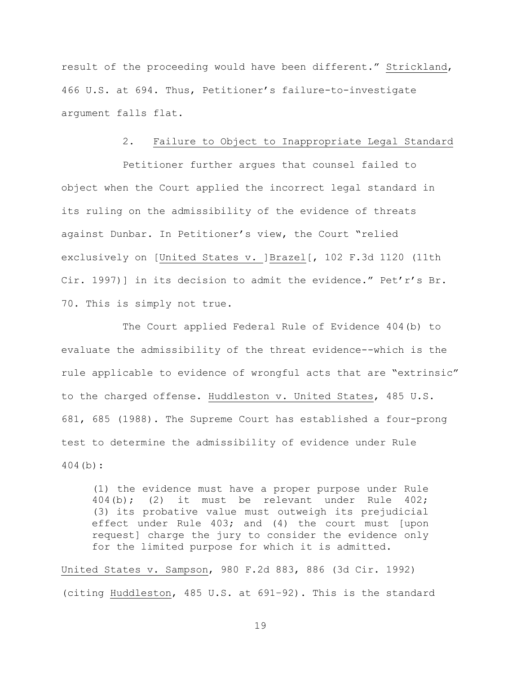result of the proceeding would have been different." Strickland, 466 U.S. at 694. Thus, Petitioner's failure-to-investigate argument falls flat.

#### 2. Failure to Object to Inappropriate Legal Standard

Petitioner further argues that counsel failed to object when the Court applied the incorrect legal standard in its ruling on the admissibility of the evidence of threats against Dunbar. In Petitioner's view, the Court "relied exclusively on [United States v. ]Brazel[, 102 F.3d 1120 (11th Cir. 1997)] in its decision to admit the evidence." Pet'r's Br. 70. This is simply not true.

The Court applied Federal Rule of Evidence 404(b) to evaluate the admissibility of the threat evidence--which is the rule applicable to evidence of wrongful acts that are "extrinsic" to the charged offense. Huddleston v. United States, 485 U.S. 681, 685 (1988). The Supreme Court has established a four-prong test to determine the admissibility of evidence under Rule 404(b):

(1) the evidence must have a proper purpose under Rule 404(b); (2) it must be relevant under Rule 402; (3) its probative value must outweigh its prejudicial effect under Rule 403; and (4) the court must [upon request] charge the jury to consider the evidence only for the limited purpose for which it is admitted.

United States v. Sampson, 980 F.2d 883, 886 (3d Cir. 1992) (citing Huddleston, 485 U.S. at 691–92). This is the standard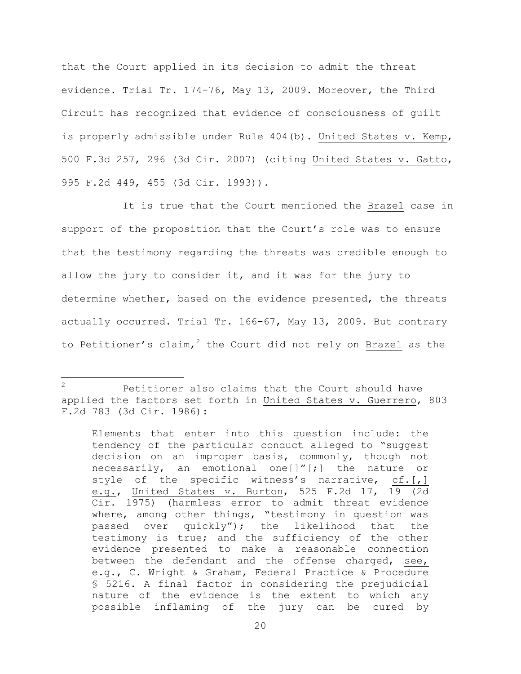that the Court applied in its decision to admit the threat evidence. Trial Tr. 174-76, May 13, 2009. Moreover, the Third Circuit has recognized that evidence of consciousness of guilt is properly admissible under Rule 404(b). United States v. Kemp, 500 F.3d 257, 296 (3d Cir. 2007) (citing United States v. Gatto, 995 F.2d 449, 455 (3d Cir. 1993)).

It is true that the Court mentioned the Brazel case in support of the proposition that the Court's role was to ensure that the testimony regarding the threats was credible enough to allow the jury to consider it, and it was for the jury to determine whether, based on the evidence presented, the threats actually occurred. Trial Tr. 166-67, May 13, 2009. But contrary to Petitioner's claim,<sup>2</sup> the Court did not rely on Brazel as the

a<br>B

<sup>&</sup>lt;sup>2</sup> Petitioner also claims that the Court should have applied the factors set forth in United States v. Guerrero, 803 F.2d 783 (3d Cir. 1986):

Elements that enter into this question include: the tendency of the particular conduct alleged to "suggest decision on an improper basis, commonly, though not necessarily, an emotional one[]"[;] the nature or style of the specific witness's narrative, cf.[,] e.g., United States v. Burton, 525 F.2d 17, 19 (2d Cir. 1975) (harmless error to admit threat evidence where, among other things, "testimony in question was passed over quickly"); the likelihood that the testimony is true; and the sufficiency of the other evidence presented to make a reasonable connection between the defendant and the offense charged, see, e.g., C. Wright & Graham, Federal Practice & Procedure § 5216. A final factor in considering the prejudicial nature of the evidence is the extent to which any possible inflaming of the jury can be cured by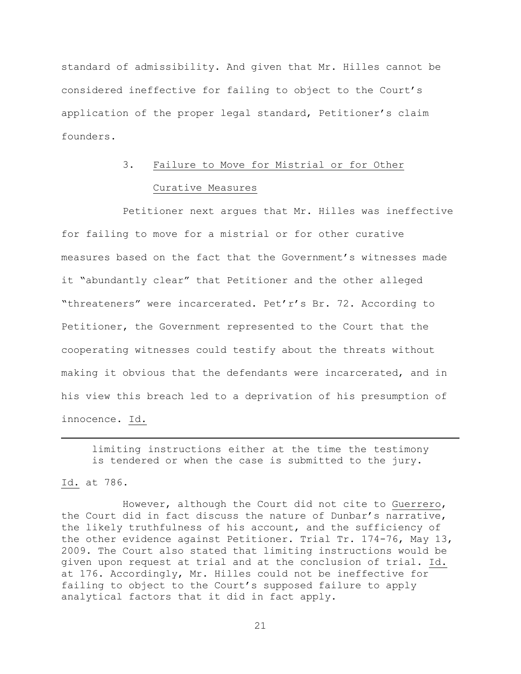standard of admissibility. And given that Mr. Hilles cannot be considered ineffective for failing to object to the Court's application of the proper legal standard, Petitioner's claim founders.

# 3. Failure to Move for Mistrial or for Other Curative Measures

Petitioner next argues that Mr. Hilles was ineffective for failing to move for a mistrial or for other curative measures based on the fact that the Government's witnesses made it "abundantly clear" that Petitioner and the other alleged "threateners" were incarcerated. Pet'r's Br. 72. According to Petitioner, the Government represented to the Court that the cooperating witnesses could testify about the threats without making it obvious that the defendants were incarcerated, and in his view this breach led to a deprivation of his presumption of innocence. Id.

limiting instructions either at the time the testimony is tendered or when the case is submitted to the jury.

Id. at 786.

a<br>B

However, although the Court did not cite to Guerrero, the Court did in fact discuss the nature of Dunbar's narrative, the likely truthfulness of his account, and the sufficiency of the other evidence against Petitioner. Trial Tr. 174-76, May 13, 2009. The Court also stated that limiting instructions would be given upon request at trial and at the conclusion of trial. Id. at 176. Accordingly, Mr. Hilles could not be ineffective for failing to object to the Court's supposed failure to apply analytical factors that it did in fact apply.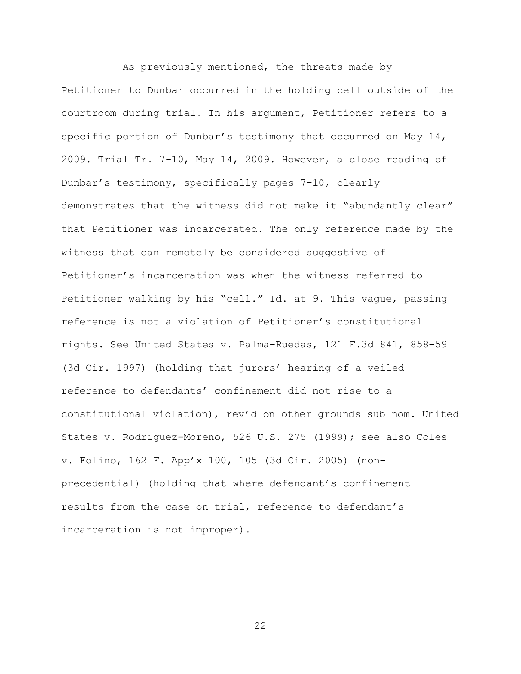As previously mentioned, the threats made by Petitioner to Dunbar occurred in the holding cell outside of the courtroom during trial. In his argument, Petitioner refers to a specific portion of Dunbar's testimony that occurred on May 14, 2009. Trial Tr. 7-10, May 14, 2009. However, a close reading of Dunbar's testimony, specifically pages 7-10, clearly demonstrates that the witness did not make it "abundantly clear" that Petitioner was incarcerated. The only reference made by the witness that can remotely be considered suggestive of Petitioner's incarceration was when the witness referred to Petitioner walking by his "cell." Id. at 9. This vague, passing reference is not a violation of Petitioner's constitutional rights. See United States v. Palma-Ruedas, 121 F.3d 841, 858-59 (3d Cir. 1997) (holding that jurors' hearing of a veiled reference to defendants' confinement did not rise to a constitutional violation), rev'd on other grounds sub nom. United States v. Rodriguez-Moreno, 526 U.S. 275 (1999); see also Coles v. Folino, 162 F. App'x 100, 105 (3d Cir. 2005) (nonprecedential) (holding that where defendant's confinement results from the case on trial, reference to defendant's incarceration is not improper).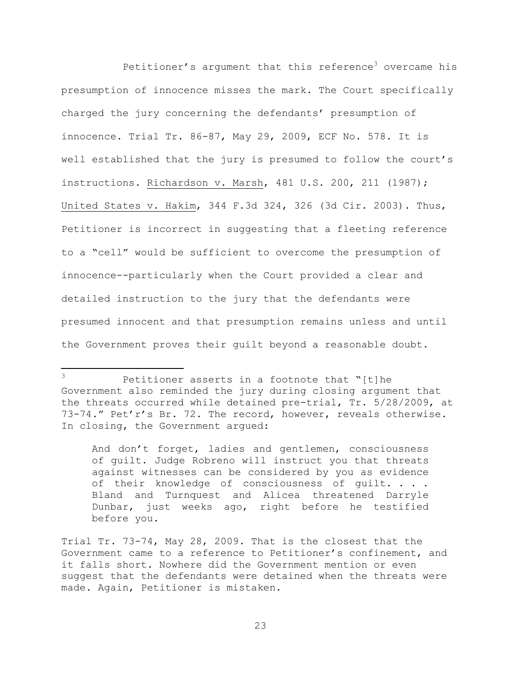Petitioner's argument that this reference<sup>3</sup> overcame his presumption of innocence misses the mark. The Court specifically charged the jury concerning the defendants' presumption of innocence. Trial Tr. 86-87, May 29, 2009, ECF No. 578. It is well established that the jury is presumed to follow the court's instructions. Richardson v. Marsh, 481 U.S. 200, 211 (1987); United States v. Hakim, 344 F.3d 324, 326 (3d Cir. 2003). Thus, Petitioner is incorrect in suggesting that a fleeting reference to a "cell" would be sufficient to overcome the presumption of innocence--particularly when the Court provided a clear and detailed instruction to the jury that the defendants were presumed innocent and that presumption remains unless and until the Government proves their guilt beyond a reasonable doubt.

L,

And don't forget, ladies and gentlemen, consciousness of guilt. Judge Robreno will instruct you that threats against witnesses can be considered by you as evidence of their knowledge of consciousness of guilt. . . . Bland and Turnquest and Alicea threatened Darryle Dunbar, just weeks ago, right before he testified before you.

<sup>3</sup> Petitioner asserts in a footnote that "[t]he Government also reminded the jury during closing argument that the threats occurred while detained pre-trial, Tr. 5/28/2009, at 73-74." Pet'r's Br. 72. The record, however, reveals otherwise. In closing, the Government argued:

Trial Tr. 73-74, May 28, 2009. That is the closest that the Government came to a reference to Petitioner's confinement, and it falls short. Nowhere did the Government mention or even suggest that the defendants were detained when the threats were made. Again, Petitioner is mistaken.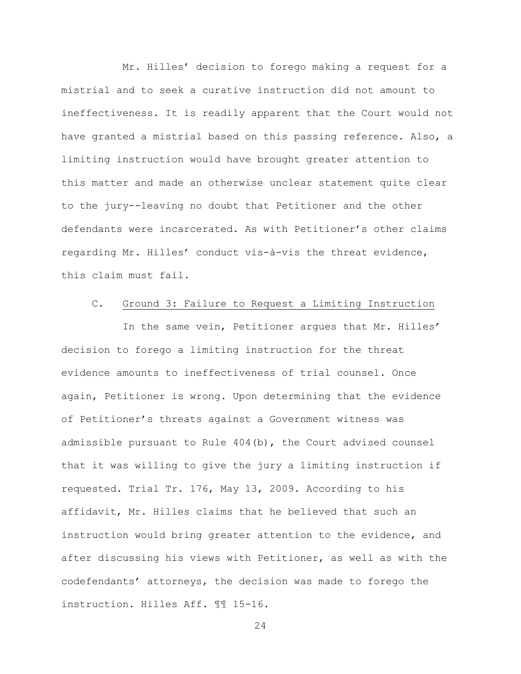Mr. Hilles' decision to forego making a request for a mistrial and to seek a curative instruction did not amount to ineffectiveness. It is readily apparent that the Court would not have granted a mistrial based on this passing reference. Also, a limiting instruction would have brought greater attention to this matter and made an otherwise unclear statement quite clear to the jury--leaving no doubt that Petitioner and the other defendants were incarcerated. As with Petitioner's other claims regarding Mr. Hilles' conduct vis-à-vis the threat evidence, this claim must fail.

## C. Ground 3: Failure to Request a Limiting Instruction

In the same vein, Petitioner argues that Mr. Hilles' decision to forego a limiting instruction for the threat evidence amounts to ineffectiveness of trial counsel. Once again, Petitioner is wrong. Upon determining that the evidence of Petitioner's threats against a Government witness was admissible pursuant to Rule 404(b), the Court advised counsel that it was willing to give the jury a limiting instruction if requested. Trial Tr. 176, May 13, 2009. According to his affidavit, Mr. Hilles claims that he believed that such an instruction would bring greater attention to the evidence, and after discussing his views with Petitioner, as well as with the codefendants' attorneys, the decision was made to forego the instruction. Hilles Aff. ¶¶ 15-16.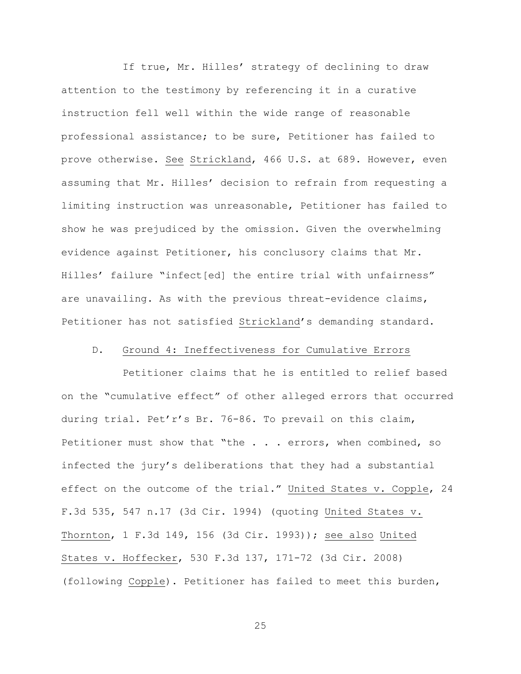If true, Mr. Hilles' strategy of declining to draw attention to the testimony by referencing it in a curative instruction fell well within the wide range of reasonable professional assistance; to be sure, Petitioner has failed to prove otherwise. See Strickland, 466 U.S. at 689. However, even assuming that Mr. Hilles' decision to refrain from requesting a limiting instruction was unreasonable, Petitioner has failed to show he was prejudiced by the omission. Given the overwhelming evidence against Petitioner, his conclusory claims that Mr. Hilles' failure "infect[ed] the entire trial with unfairness" are unavailing. As with the previous threat-evidence claims, Petitioner has not satisfied Strickland's demanding standard.

# D. Ground 4: Ineffectiveness for Cumulative Errors

Petitioner claims that he is entitled to relief based on the "cumulative effect" of other alleged errors that occurred during trial. Pet'r's Br. 76-86. To prevail on this claim, Petitioner must show that "the . . . errors, when combined, so infected the jury's deliberations that they had a substantial effect on the outcome of the trial." United States v. Copple, 24 F.3d 535, 547 n.17 (3d Cir. 1994) (quoting United States v. Thornton, 1 F.3d 149, 156 (3d Cir. 1993)); see also United States v. Hoffecker, 530 F.3d 137, 171-72 (3d Cir. 2008) (following Copple). Petitioner has failed to meet this burden,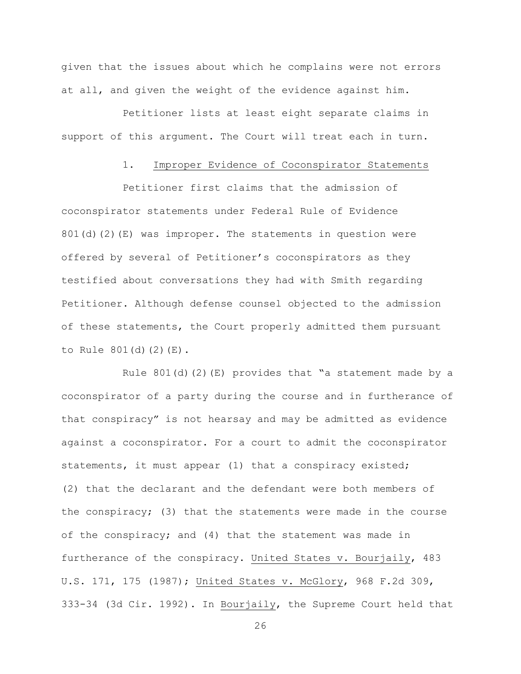given that the issues about which he complains were not errors at all, and given the weight of the evidence against him.

Petitioner lists at least eight separate claims in support of this argument. The Court will treat each in turn.

# 1. Improper Evidence of Coconspirator Statements

Petitioner first claims that the admission of coconspirator statements under Federal Rule of Evidence 801(d)(2)(E) was improper. The statements in question were offered by several of Petitioner's coconspirators as they testified about conversations they had with Smith regarding Petitioner. Although defense counsel objected to the admission of these statements, the Court properly admitted them pursuant to Rule 801(d)(2)(E).

Rule  $801(d)(2)$  (E) provides that "a statement made by a coconspirator of a party during the course and in furtherance of that conspiracy" is not hearsay and may be admitted as evidence against a coconspirator. For a court to admit the coconspirator statements, it must appear (1) that a conspiracy existed; (2) that the declarant and the defendant were both members of the conspiracy; (3) that the statements were made in the course of the conspiracy; and (4) that the statement was made in furtherance of the conspiracy. United States v. Bourjaily, 483 U.S. 171, 175 (1987); United States v. McGlory, 968 F.2d 309, 333-34 (3d Cir. 1992). In Bourjaily, the Supreme Court held that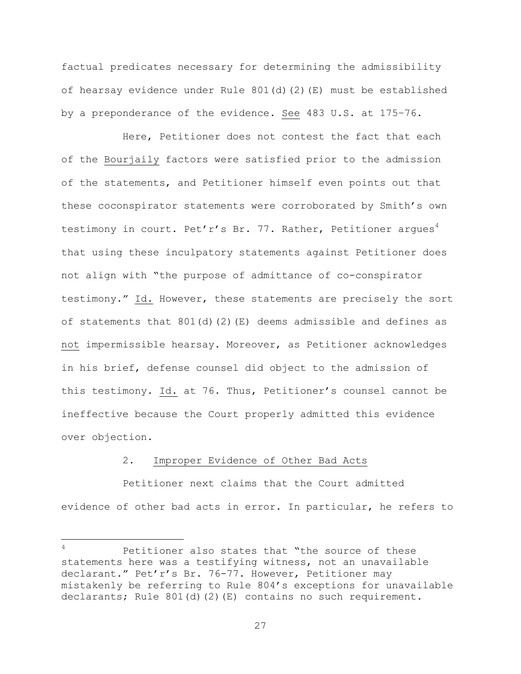factual predicates necessary for determining the admissibility of hearsay evidence under Rule 801(d)(2)(E) must be established by a preponderance of the evidence. See 483 U.S. at 175–76.

Here, Petitioner does not contest the fact that each of the Bourjaily factors were satisfied prior to the admission of the statements, and Petitioner himself even points out that these coconspirator statements were corroborated by Smith's own testimony in court. Pet'r's Br. 77. Rather, Petitioner argues<sup>4</sup> that using these inculpatory statements against Petitioner does not align with "the purpose of admittance of co-conspirator testimony." Id. However, these statements are precisely the sort of statements that  $801(d)$  (2) (E) deems admissible and defines as not impermissible hearsay. Moreover, as Petitioner acknowledges in his brief, defense counsel did object to the admission of this testimony. Id. at 76. Thus, Petitioner's counsel cannot be ineffective because the Court properly admitted this evidence over objection.

# 2. Improper Evidence of Other Bad Acts

a<br>B

Petitioner next claims that the Court admitted evidence of other bad acts in error. In particular, he refers to

Petitioner also states that "the source of these statements here was a testifying witness, not an unavailable declarant." Pet'r's Br. 76-77. However, Petitioner may mistakenly be referring to Rule 804's exceptions for unavailable declarants; Rule 801(d)(2)(E) contains no such requirement.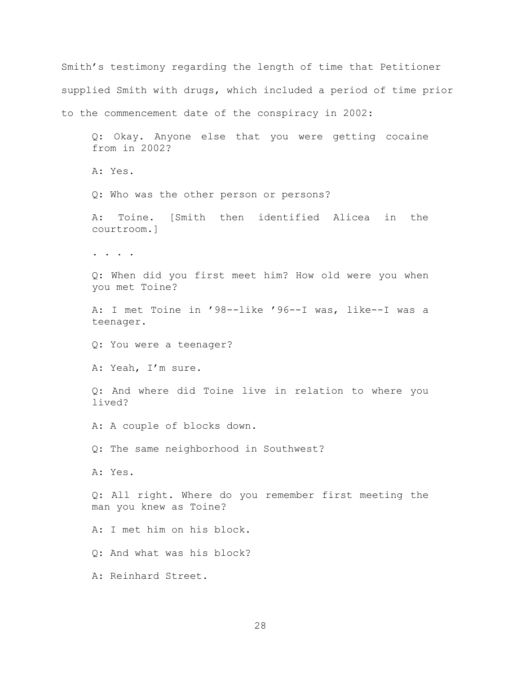Smith's testimony regarding the length of time that Petitioner supplied Smith with drugs, which included a period of time prior to the commencement date of the conspiracy in 2002: Q: Okay. Anyone else that you were getting cocaine from in 2002? A: Yes. Q: Who was the other person or persons? A: Toine. [Smith then identified Alicea in the courtroom.] . . . . Q: When did you first meet him? How old were you when you met Toine? A: I met Toine in '98--like '96--I was, like--I was a teenager. Q: You were a teenager? A: Yeah, I'm sure. Q: And where did Toine live in relation to where you lived? A: A couple of blocks down. Q: The same neighborhood in Southwest? A: Yes. Q: All right. Where do you remember first meeting the man you knew as Toine? A: I met him on his block. Q: And what was his block? A: Reinhard Street.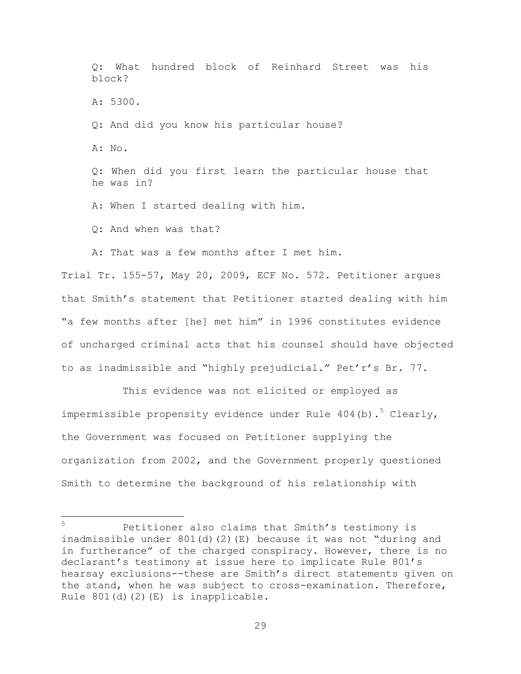Q: What hundred block of Reinhard Street was his block? A: 5300. Q: And did you know his particular house? A: No. Q: When did you first learn the particular house that he was in? A: When I started dealing with him. Q: And when was that? A: That was a few months after I met him.

Trial Tr. 155-57, May 20, 2009, ECF No. 572. Petitioner argues that Smith's statement that Petitioner started dealing with him "a few months after [he] met him" in 1996 constitutes evidence of uncharged criminal acts that his counsel should have objected to as inadmissible and "highly prejudicial." Pet'r's Br. 77.

This evidence was not elicited or employed as impermissible propensity evidence under Rule  $404$  (b).<sup>5</sup> Clearly, the Government was focused on Petitioner supplying the organization from 2002, and the Government properly questioned Smith to determine the background of his relationship with

 $\overline{5}$ Petitioner also claims that Smith's testimony is inadmissible under 801(d)(2)(E) because it was not "during and in furtherance" of the charged conspiracy. However, there is no declarant's testimony at issue here to implicate Rule 801's hearsay exclusions--these are Smith's direct statements given on the stand, when he was subject to cross-examination. Therefore, Rule  $801(d)(2)(E)$  is inapplicable.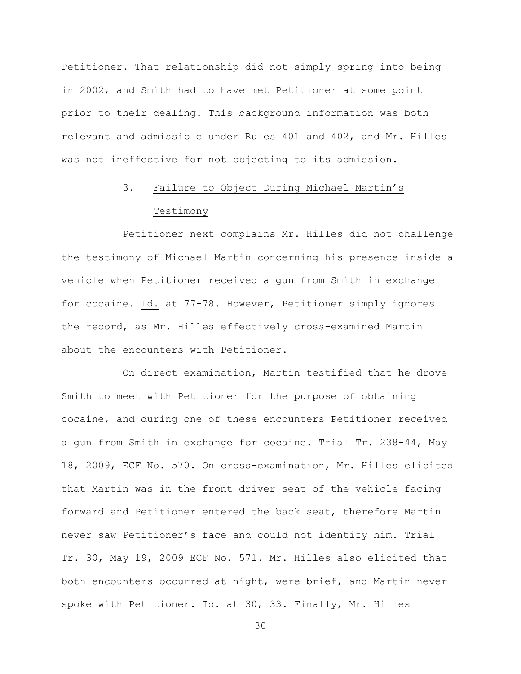Petitioner. That relationship did not simply spring into being in 2002, and Smith had to have met Petitioner at some point prior to their dealing. This background information was both relevant and admissible under Rules 401 and 402, and Mr. Hilles was not ineffective for not objecting to its admission.

# 3. Failure to Object During Michael Martin's Testimony

Petitioner next complains Mr. Hilles did not challenge the testimony of Michael Martin concerning his presence inside a vehicle when Petitioner received a gun from Smith in exchange for cocaine. Id. at 77-78. However, Petitioner simply ignores the record, as Mr. Hilles effectively cross-examined Martin about the encounters with Petitioner.

On direct examination, Martin testified that he drove Smith to meet with Petitioner for the purpose of obtaining cocaine, and during one of these encounters Petitioner received a gun from Smith in exchange for cocaine. Trial Tr. 238-44, May 18, 2009, ECF No. 570. On cross-examination, Mr. Hilles elicited that Martin was in the front driver seat of the vehicle facing forward and Petitioner entered the back seat, therefore Martin never saw Petitioner's face and could not identify him. Trial Tr. 30, May 19, 2009 ECF No. 571. Mr. Hilles also elicited that both encounters occurred at night, were brief, and Martin never spoke with Petitioner. Id. at 30, 33. Finally, Mr. Hilles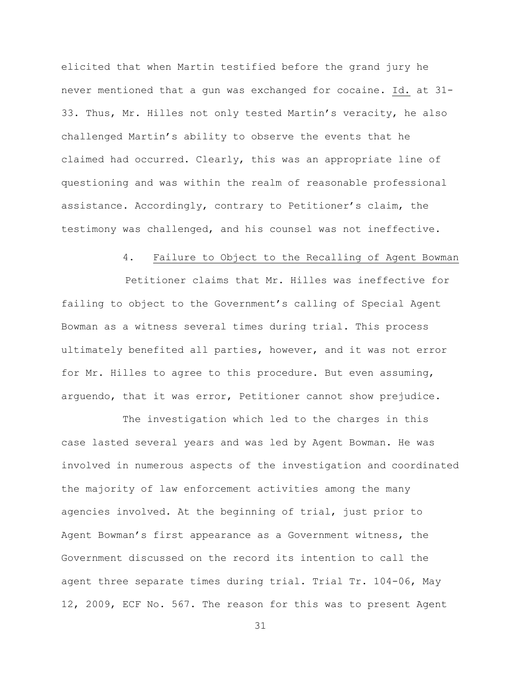elicited that when Martin testified before the grand jury he never mentioned that a gun was exchanged for cocaine. Id. at 31- 33. Thus, Mr. Hilles not only tested Martin's veracity, he also challenged Martin's ability to observe the events that he claimed had occurred. Clearly, this was an appropriate line of questioning and was within the realm of reasonable professional assistance. Accordingly, contrary to Petitioner's claim, the testimony was challenged, and his counsel was not ineffective.

# 4. Failure to Object to the Recalling of Agent Bowman

Petitioner claims that Mr. Hilles was ineffective for failing to object to the Government's calling of Special Agent Bowman as a witness several times during trial. This process ultimately benefited all parties, however, and it was not error for Mr. Hilles to agree to this procedure. But even assuming, arguendo, that it was error, Petitioner cannot show prejudice.

The investigation which led to the charges in this case lasted several years and was led by Agent Bowman. He was involved in numerous aspects of the investigation and coordinated the majority of law enforcement activities among the many agencies involved. At the beginning of trial, just prior to Agent Bowman's first appearance as a Government witness, the Government discussed on the record its intention to call the agent three separate times during trial. Trial Tr. 104-06, May 12, 2009, ECF No. 567. The reason for this was to present Agent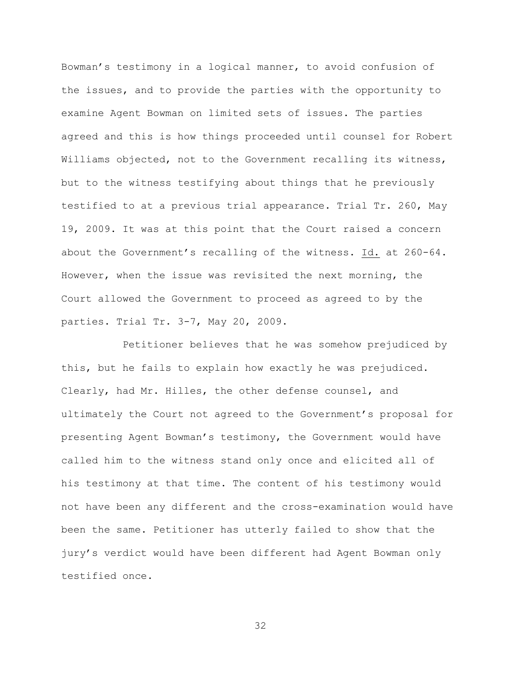Bowman's testimony in a logical manner, to avoid confusion of the issues, and to provide the parties with the opportunity to examine Agent Bowman on limited sets of issues. The parties agreed and this is how things proceeded until counsel for Robert Williams objected, not to the Government recalling its witness, but to the witness testifying about things that he previously testified to at a previous trial appearance. Trial Tr. 260, May 19, 2009. It was at this point that the Court raised a concern about the Government's recalling of the witness. Id. at 260-64. However, when the issue was revisited the next morning, the Court allowed the Government to proceed as agreed to by the parties. Trial Tr. 3-7, May 20, 2009.

Petitioner believes that he was somehow prejudiced by this, but he fails to explain how exactly he was prejudiced. Clearly, had Mr. Hilles, the other defense counsel, and ultimately the Court not agreed to the Government's proposal for presenting Agent Bowman's testimony, the Government would have called him to the witness stand only once and elicited all of his testimony at that time. The content of his testimony would not have been any different and the cross-examination would have been the same. Petitioner has utterly failed to show that the jury's verdict would have been different had Agent Bowman only testified once.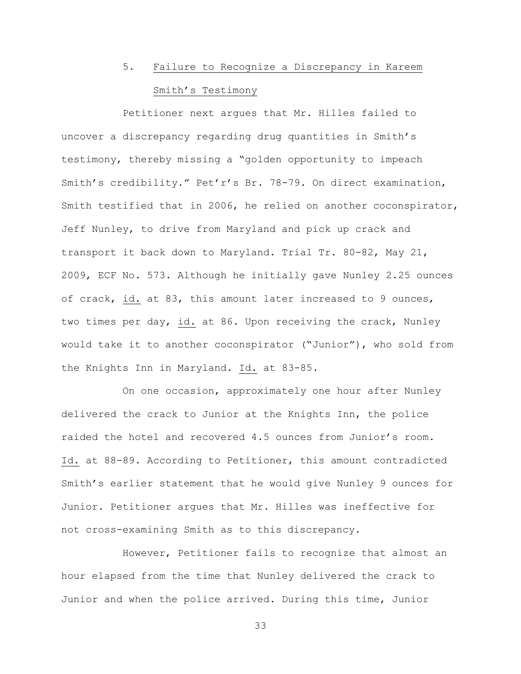# 5. Failure to Recognize a Discrepancy in Kareem Smith's Testimony

Petitioner next argues that Mr. Hilles failed to uncover a discrepancy regarding drug quantities in Smith's testimony, thereby missing a "golden opportunity to impeach Smith's credibility." Pet'r's Br. 78-79. On direct examination, Smith testified that in 2006, he relied on another coconspirator, Jeff Nunley, to drive from Maryland and pick up crack and transport it back down to Maryland. Trial Tr. 80-82, May 21, 2009, ECF No. 573. Although he initially gave Nunley 2.25 ounces of crack, id. at 83, this amount later increased to 9 ounces, two times per day, id. at 86. Upon receiving the crack, Nunley would take it to another coconspirator ("Junior"), who sold from the Knights Inn in Maryland. Id. at 83-85.

On one occasion, approximately one hour after Nunley delivered the crack to Junior at the Knights Inn, the police raided the hotel and recovered 4.5 ounces from Junior's room. Id. at 88-89. According to Petitioner, this amount contradicted Smith's earlier statement that he would give Nunley 9 ounces for Junior. Petitioner argues that Mr. Hilles was ineffective for not cross-examining Smith as to this discrepancy.

However, Petitioner fails to recognize that almost an hour elapsed from the time that Nunley delivered the crack to Junior and when the police arrived. During this time, Junior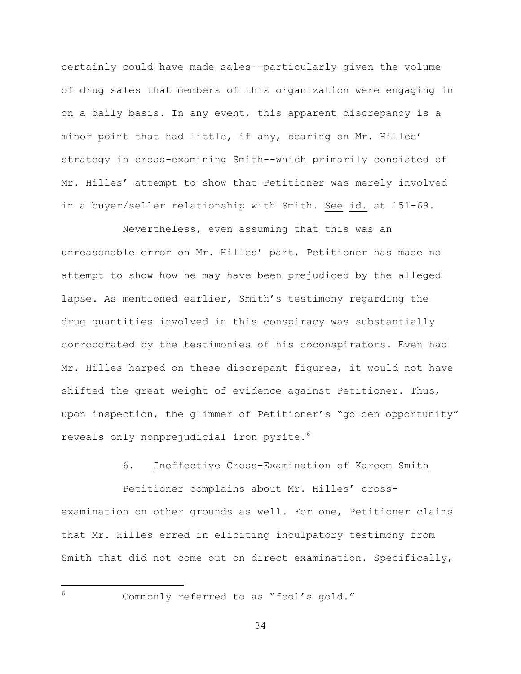certainly could have made sales--particularly given the volume of drug sales that members of this organization were engaging in on a daily basis. In any event, this apparent discrepancy is a minor point that had little, if any, bearing on Mr. Hilles' strategy in cross-examining Smith--which primarily consisted of Mr. Hilles' attempt to show that Petitioner was merely involved in a buyer/seller relationship with Smith. See id. at 151-69.

Nevertheless, even assuming that this was an unreasonable error on Mr. Hilles' part, Petitioner has made no attempt to show how he may have been prejudiced by the alleged lapse. As mentioned earlier, Smith's testimony regarding the drug quantities involved in this conspiracy was substantially corroborated by the testimonies of his coconspirators. Even had Mr. Hilles harped on these discrepant figures, it would not have shifted the great weight of evidence against Petitioner. Thus, upon inspection, the glimmer of Petitioner's "golden opportunity" reveals only nonprejudicial iron pyrite.<sup>6</sup>

# 6. Ineffective Cross-Examination of Kareem Smith

Petitioner complains about Mr. Hilles' crossexamination on other grounds as well. For one, Petitioner claims that Mr. Hilles erred in eliciting inculpatory testimony from Smith that did not come out on direct examination. Specifically,

a<br>B

<sup>6</sup> Commonly referred to as "fool's gold."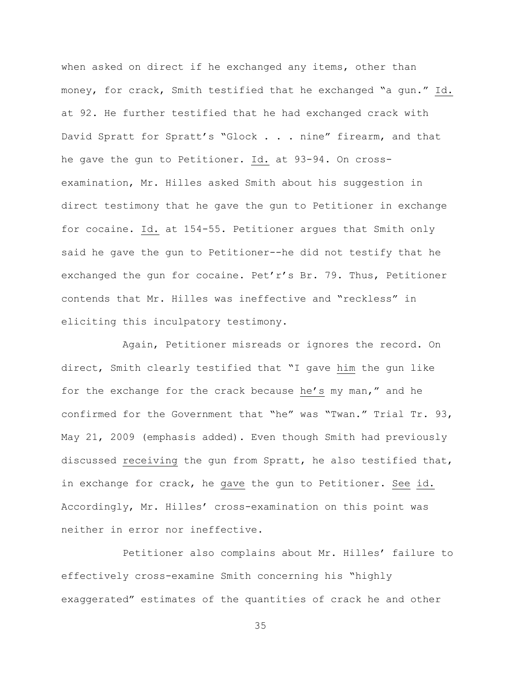when asked on direct if he exchanged any items, other than money, for crack, Smith testified that he exchanged "a gun." Id. at 92. He further testified that he had exchanged crack with David Spratt for Spratt's "Glock . . . nine" firearm, and that he gave the gun to Petitioner. Id. at 93-94. On crossexamination, Mr. Hilles asked Smith about his suggestion in direct testimony that he gave the gun to Petitioner in exchange for cocaine. Id. at 154-55. Petitioner argues that Smith only said he gave the gun to Petitioner--he did not testify that he exchanged the gun for cocaine. Pet'r's Br. 79. Thus, Petitioner contends that Mr. Hilles was ineffective and "reckless" in eliciting this inculpatory testimony.

Again, Petitioner misreads or ignores the record. On direct, Smith clearly testified that "I gave him the gun like for the exchange for the crack because he's my man," and he confirmed for the Government that "he" was "Twan." Trial Tr. 93, May 21, 2009 (emphasis added). Even though Smith had previously discussed receiving the gun from Spratt, he also testified that, in exchange for crack, he gave the gun to Petitioner. See id. Accordingly, Mr. Hilles' cross-examination on this point was neither in error nor ineffective.

Petitioner also complains about Mr. Hilles' failure to effectively cross-examine Smith concerning his "highly exaggerated" estimates of the quantities of crack he and other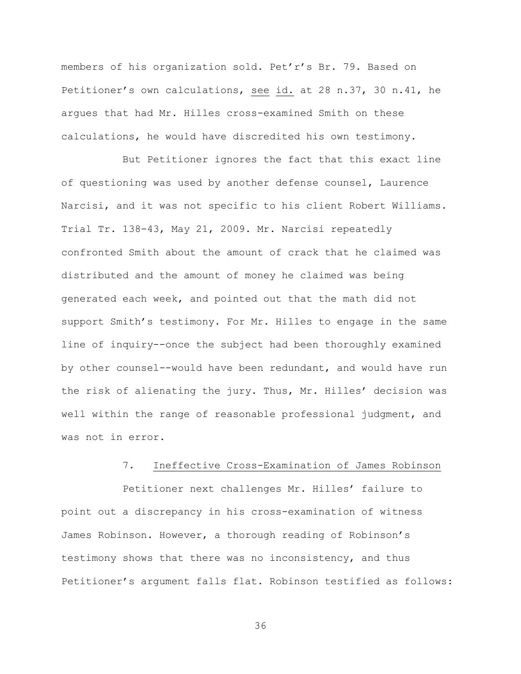members of his organization sold. Pet'r's Br. 79. Based on Petitioner's own calculations, see id. at 28 n.37, 30 n.41, he argues that had Mr. Hilles cross-examined Smith on these calculations, he would have discredited his own testimony.

But Petitioner ignores the fact that this exact line of questioning was used by another defense counsel, Laurence Narcisi, and it was not specific to his client Robert Williams. Trial Tr. 138-43, May 21, 2009. Mr. Narcisi repeatedly confronted Smith about the amount of crack that he claimed was distributed and the amount of money he claimed was being generated each week, and pointed out that the math did not support Smith's testimony. For Mr. Hilles to engage in the same line of inquiry--once the subject had been thoroughly examined by other counsel--would have been redundant, and would have run the risk of alienating the jury. Thus, Mr. Hilles' decision was well within the range of reasonable professional judgment, and was not in error.

# 7. Ineffective Cross-Examination of James Robinson

Petitioner next challenges Mr. Hilles' failure to point out a discrepancy in his cross-examination of witness James Robinson. However, a thorough reading of Robinson's testimony shows that there was no inconsistency, and thus Petitioner's argument falls flat. Robinson testified as follows: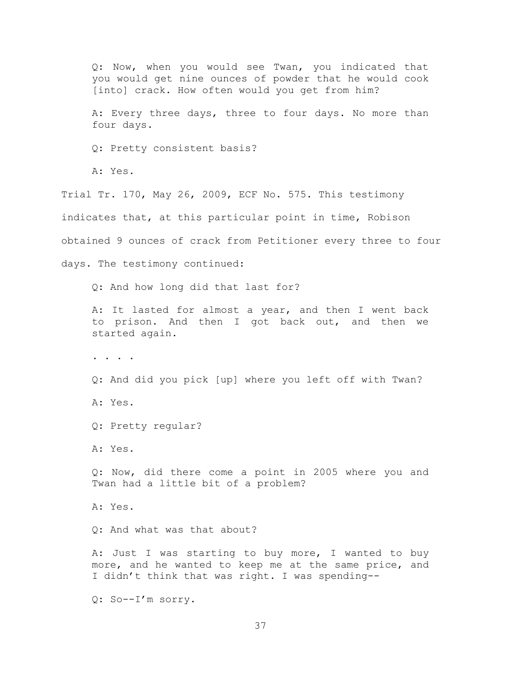Q: Now, when you would see Twan, you indicated that you would get nine ounces of powder that he would cook [into] crack. How often would you get from him? A: Every three days, three to four days. No more than four days. Q: Pretty consistent basis? A: Yes. Trial Tr. 170, May 26, 2009, ECF No. 575. This testimony indicates that, at this particular point in time, Robison obtained 9 ounces of crack from Petitioner every three to four days. The testimony continued: Q: And how long did that last for? A: It lasted for almost a year, and then I went back to prison. And then I got back out, and then we started again. . . . . Q: And did you pick [up] where you left off with Twan? A: Yes. Q: Pretty regular? A: Yes. Q: Now, did there come a point in 2005 where you and Twan had a little bit of a problem? A: Yes. Q: And what was that about? A: Just I was starting to buy more, I wanted to buy more, and he wanted to keep me at the same price, and I didn't think that was right. I was spending-- Q: So--I'm sorry.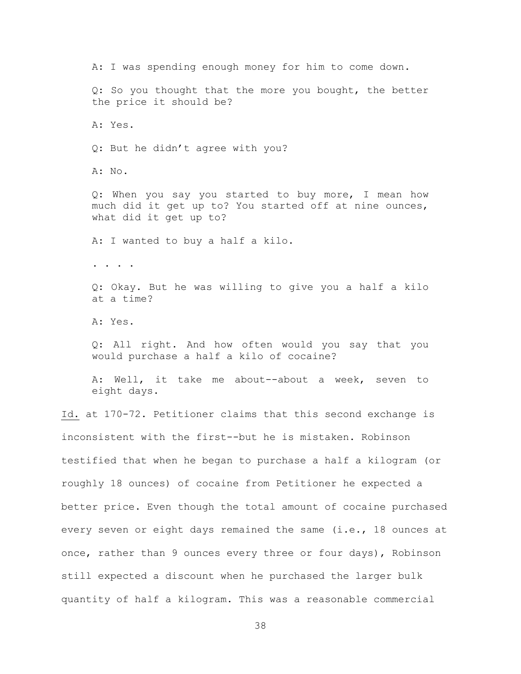A: I was spending enough money for him to come down. Q: So you thought that the more you bought, the better the price it should be? A: Yes. Q: But he didn't agree with you? A: No. Q: When you say you started to buy more, I mean how much did it get up to? You started off at nine ounces, what did it get up to? A: I wanted to buy a half a kilo. . . . . Q: Okay. But he was willing to give you a half a kilo at a time? A: Yes. Q: All right. And how often would you say that you would purchase a half a kilo of cocaine? A: Well, it take me about--about a week, seven to eight days. Id. at 170-72. Petitioner claims that this second exchange is inconsistent with the first--but he is mistaken. Robinson testified that when he began to purchase a half a kilogram (or roughly 18 ounces) of cocaine from Petitioner he expected a better price. Even though the total amount of cocaine purchased every seven or eight days remained the same (i.e., 18 ounces at once, rather than 9 ounces every three or four days), Robinson still expected a discount when he purchased the larger bulk quantity of half a kilogram. This was a reasonable commercial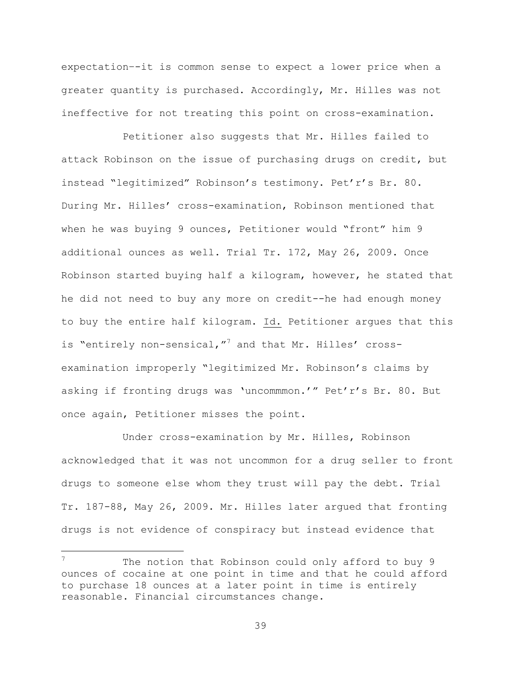expectation–-it is common sense to expect a lower price when a greater quantity is purchased. Accordingly, Mr. Hilles was not ineffective for not treating this point on cross-examination.

Petitioner also suggests that Mr. Hilles failed to attack Robinson on the issue of purchasing drugs on credit, but instead "legitimized" Robinson's testimony. Pet'r's Br. 80. During Mr. Hilles' cross-examination, Robinson mentioned that when he was buying 9 ounces, Petitioner would "front" him 9 additional ounces as well. Trial Tr. 172, May 26, 2009. Once Robinson started buying half a kilogram, however, he stated that he did not need to buy any more on credit--he had enough money to buy the entire half kilogram. Id. Petitioner argues that this is "entirely non-sensical,"<sup>7</sup> and that Mr. Hilles' crossexamination improperly "legitimized Mr. Robinson's claims by asking if fronting drugs was 'uncommmon.'" Pet'r's Br. 80. But once again, Petitioner misses the point.

Under cross-examination by Mr. Hilles, Robinson acknowledged that it was not uncommon for a drug seller to front drugs to someone else whom they trust will pay the debt. Trial Tr. 187-88, May 26, 2009. Mr. Hilles later argued that fronting drugs is not evidence of conspiracy but instead evidence that

a<br>B

 $7$  The notion that Robinson could only afford to buy 9 ounces of cocaine at one point in time and that he could afford to purchase 18 ounces at a later point in time is entirely reasonable. Financial circumstances change.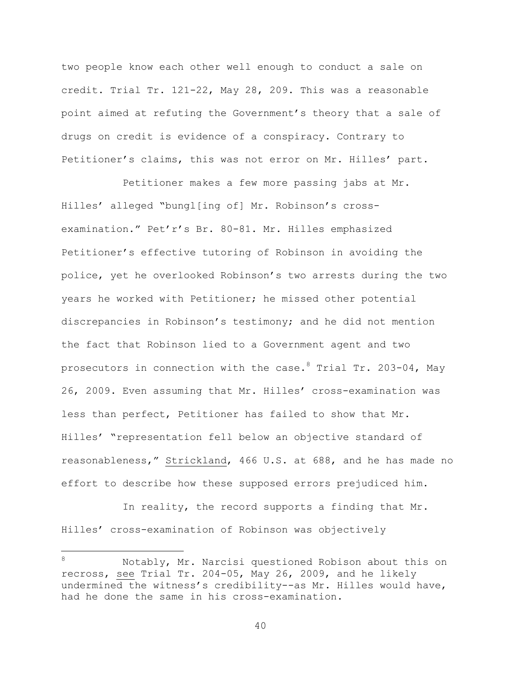two people know each other well enough to conduct a sale on credit. Trial Tr. 121-22, May 28, 209. This was a reasonable point aimed at refuting the Government's theory that a sale of drugs on credit is evidence of a conspiracy. Contrary to Petitioner's claims, this was not error on Mr. Hilles' part.

Petitioner makes a few more passing jabs at Mr. Hilles' alleged "bungl[ing of] Mr. Robinson's crossexamination." Pet'r's Br. 80-81. Mr. Hilles emphasized Petitioner's effective tutoring of Robinson in avoiding the police, yet he overlooked Robinson's two arrests during the two years he worked with Petitioner; he missed other potential discrepancies in Robinson's testimony; and he did not mention the fact that Robinson lied to a Government agent and two prosecutors in connection with the case.  $8$  Trial Tr. 203-04, May 26, 2009. Even assuming that Mr. Hilles' cross-examination was less than perfect, Petitioner has failed to show that Mr. Hilles' "representation fell below an objective standard of reasonableness," Strickland, 466 U.S. at 688, and he has made no effort to describe how these supposed errors prejudiced him.

In reality, the record supports a finding that Mr. Hilles' cross-examination of Robinson was objectively

a<br>B

<sup>8</sup> Notably, Mr. Narcisi questioned Robison about this on recross, see Trial Tr. 204-05, May 26, 2009, and he likely undermined the witness's credibility--as Mr. Hilles would have, had he done the same in his cross-examination.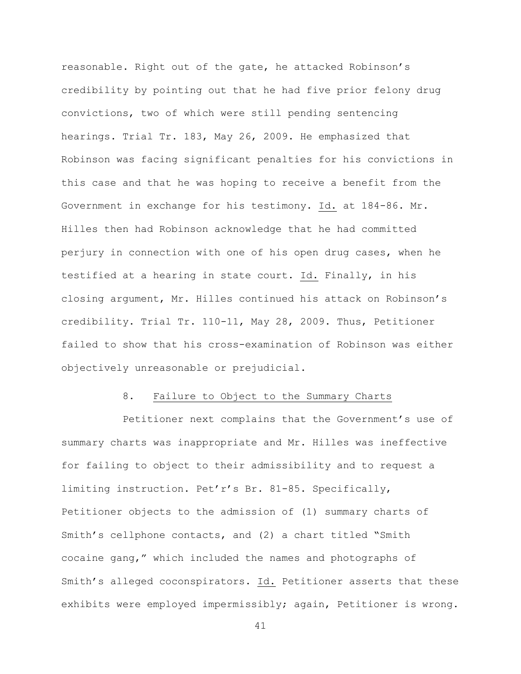reasonable. Right out of the gate, he attacked Robinson's credibility by pointing out that he had five prior felony drug convictions, two of which were still pending sentencing hearings. Trial Tr. 183, May 26, 2009. He emphasized that Robinson was facing significant penalties for his convictions in this case and that he was hoping to receive a benefit from the Government in exchange for his testimony. Id. at 184-86. Mr. Hilles then had Robinson acknowledge that he had committed perjury in connection with one of his open drug cases, when he testified at a hearing in state court. Id. Finally, in his closing argument, Mr. Hilles continued his attack on Robinson's credibility. Trial Tr. 110-11, May 28, 2009. Thus, Petitioner failed to show that his cross-examination of Robinson was either objectively unreasonable or prejudicial.

## 8. Failure to Object to the Summary Charts

Petitioner next complains that the Government's use of summary charts was inappropriate and Mr. Hilles was ineffective for failing to object to their admissibility and to request a limiting instruction. Pet'r's Br. 81-85. Specifically, Petitioner objects to the admission of (1) summary charts of Smith's cellphone contacts, and (2) a chart titled "Smith cocaine gang," which included the names and photographs of Smith's alleged coconspirators. Id. Petitioner asserts that these exhibits were employed impermissibly; again, Petitioner is wrong.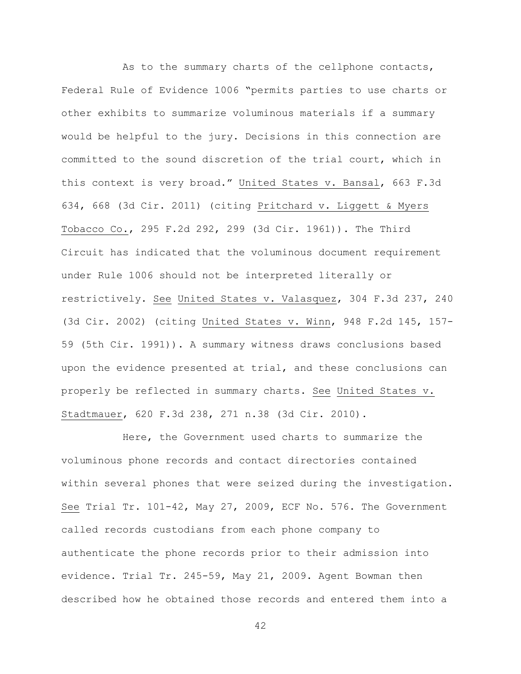As to the summary charts of the cellphone contacts, Federal Rule of Evidence 1006 "permits parties to use charts or other exhibits to summarize voluminous materials if a summary would be helpful to the jury. Decisions in this connection are committed to the sound discretion of the trial court, which in this context is very broad." United States v. Bansal, 663 F.3d 634, 668 (3d Cir. 2011) (citing Pritchard v. Liggett & Myers Tobacco Co., 295 F.2d 292, 299 (3d Cir. 1961)). The Third Circuit has indicated that the voluminous document requirement under Rule 1006 should not be interpreted literally or restrictively. See United States v. Valasquez, 304 F.3d 237, 240 (3d Cir. 2002) (citing United States v. Winn, 948 F.2d 145, 157- 59 (5th Cir. 1991)). A summary witness draws conclusions based upon the evidence presented at trial, and these conclusions can properly be reflected in summary charts. See United States v. Stadtmauer, 620 F.3d 238, 271 n.38 (3d Cir. 2010).

Here, the Government used charts to summarize the voluminous phone records and contact directories contained within several phones that were seized during the investigation. See Trial Tr. 101-42, May 27, 2009, ECF No. 576. The Government called records custodians from each phone company to authenticate the phone records prior to their admission into evidence. Trial Tr. 245-59, May 21, 2009. Agent Bowman then described how he obtained those records and entered them into a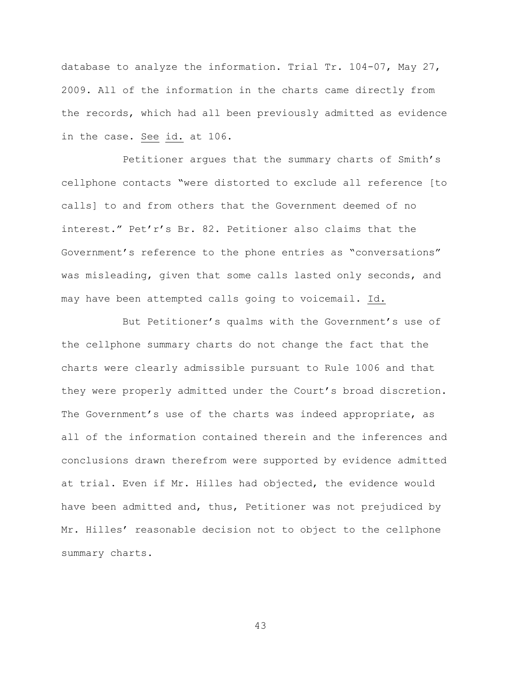database to analyze the information. Trial Tr. 104-07, May 27, 2009. All of the information in the charts came directly from the records, which had all been previously admitted as evidence in the case. See id. at 106.

Petitioner argues that the summary charts of Smith's cellphone contacts "were distorted to exclude all reference [to calls] to and from others that the Government deemed of no interest." Pet'r's Br. 82. Petitioner also claims that the Government's reference to the phone entries as "conversations" was misleading, given that some calls lasted only seconds, and may have been attempted calls going to voicemail. Id.

But Petitioner's qualms with the Government's use of the cellphone summary charts do not change the fact that the charts were clearly admissible pursuant to Rule 1006 and that they were properly admitted under the Court's broad discretion. The Government's use of the charts was indeed appropriate, as all of the information contained therein and the inferences and conclusions drawn therefrom were supported by evidence admitted at trial. Even if Mr. Hilles had objected, the evidence would have been admitted and, thus, Petitioner was not prejudiced by Mr. Hilles' reasonable decision not to object to the cellphone summary charts.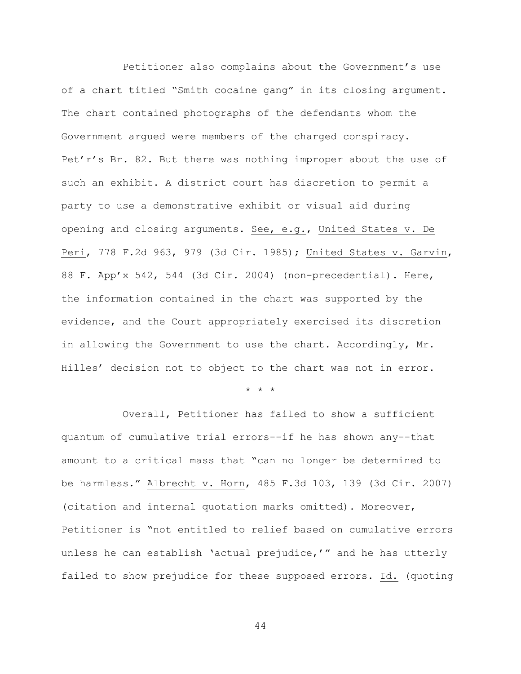Petitioner also complains about the Government's use of a chart titled "Smith cocaine gang" in its closing argument. The chart contained photographs of the defendants whom the Government argued were members of the charged conspiracy. Pet'r's Br. 82. But there was nothing improper about the use of such an exhibit. A district court has discretion to permit a party to use a demonstrative exhibit or visual aid during opening and closing arguments. See, e.g., United States v. De Peri, 778 F.2d 963, 979 (3d Cir. 1985); United States v. Garvin, 88 F. App'x 542, 544 (3d Cir. 2004) (non-precedential). Here, the information contained in the chart was supported by the evidence, and the Court appropriately exercised its discretion in allowing the Government to use the chart. Accordingly, Mr. Hilles' decision not to object to the chart was not in error.

\* \* \*

Overall, Petitioner has failed to show a sufficient quantum of cumulative trial errors--if he has shown any--that amount to a critical mass that "can no longer be determined to be harmless." Albrecht v. Horn, 485 F.3d 103, 139 (3d Cir. 2007) (citation and internal quotation marks omitted). Moreover, Petitioner is "not entitled to relief based on cumulative errors unless he can establish 'actual prejudice,'" and he has utterly failed to show prejudice for these supposed errors. Id. (quoting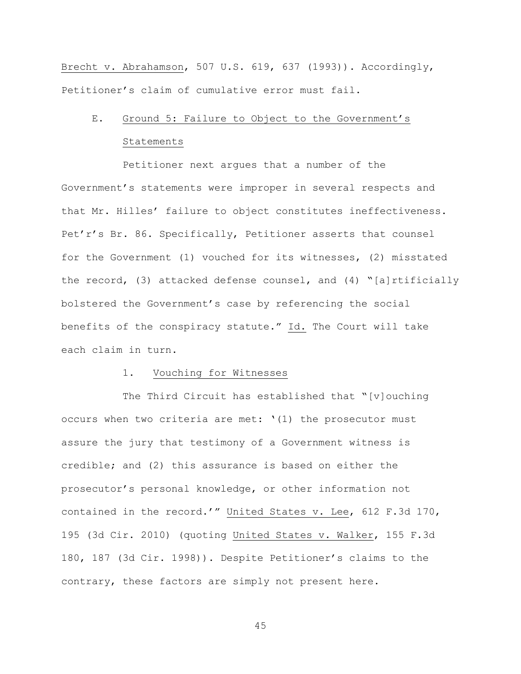Brecht v. Abrahamson, 507 U.S. 619, 637 (1993)). Accordingly, Petitioner's claim of cumulative error must fail.

# E. Ground 5: Failure to Object to the Government's

#### Statements

Petitioner next argues that a number of the Government's statements were improper in several respects and that Mr. Hilles' failure to object constitutes ineffectiveness. Pet'r's Br. 86. Specifically, Petitioner asserts that counsel for the Government (1) vouched for its witnesses, (2) misstated the record, (3) attacked defense counsel, and (4) "[a]rtificially bolstered the Government's case by referencing the social benefits of the conspiracy statute." Id. The Court will take each claim in turn.

## 1. Vouching for Witnesses

The Third Circuit has established that "[v]ouching occurs when two criteria are met: '(1) the prosecutor must assure the jury that testimony of a Government witness is credible; and (2) this assurance is based on either the prosecutor's personal knowledge, or other information not contained in the record.'" United States v. Lee, 612 F.3d 170, 195 (3d Cir. 2010) (quoting United States v. Walker, 155 F.3d 180, 187 (3d Cir. 1998)). Despite Petitioner's claims to the contrary, these factors are simply not present here.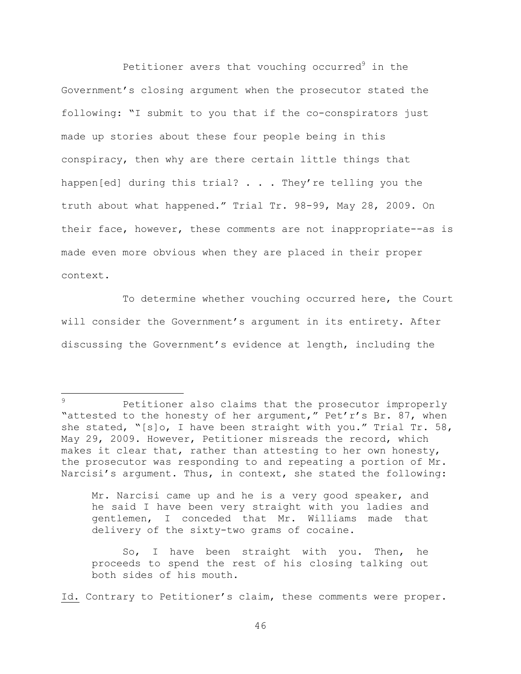Petitioner avers that vouching occurred $9$  in the Government's closing argument when the prosecutor stated the following: "I submit to you that if the co-conspirators just made up stories about these four people being in this conspiracy, then why are there certain little things that happen[ed] during this trial? . . . They're telling you the truth about what happened." Trial Tr. 98-99, May 28, 2009. On their face, however, these comments are not inappropriate--as is made even more obvious when they are placed in their proper context.

To determine whether vouching occurred here, the Court will consider the Government's argument in its entirety. After discussing the Government's evidence at length, including the

a<br>B

Mr. Narcisi came up and he is a very good speaker, and he said I have been very straight with you ladies and gentlemen, I conceded that Mr. Williams made that delivery of the sixty-two grams of cocaine.

So, I have been straight with you. Then, he proceeds to spend the rest of his closing talking out both sides of his mouth.

Id. Contrary to Petitioner's claim, these comments were proper.

Petitioner also claims that the prosecutor improperly "attested to the honesty of her argument," Pet'r's Br. 87, when she stated, "[s]o, I have been straight with you." Trial Tr. 58, May 29, 2009. However, Petitioner misreads the record, which makes it clear that, rather than attesting to her own honesty, the prosecutor was responding to and repeating a portion of Mr. Narcisi's argument. Thus, in context, she stated the following: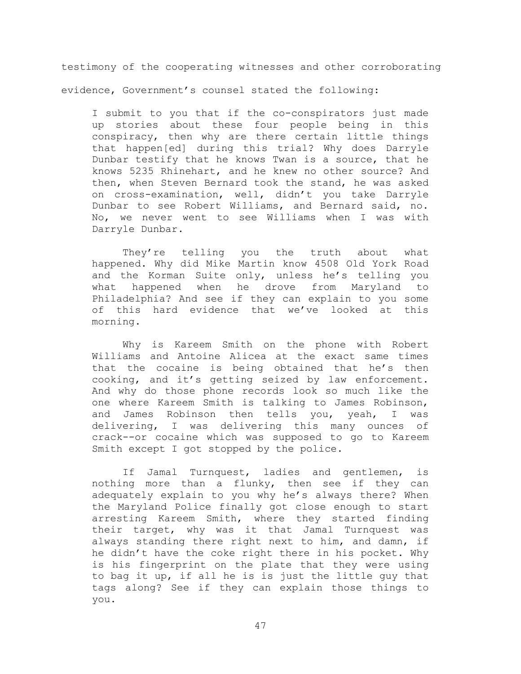testimony of the cooperating witnesses and other corroborating evidence, Government's counsel stated the following:

I submit to you that if the co-conspirators just made up stories about these four people being in this conspiracy, then why are there certain little things that happen[ed] during this trial? Why does Darryle Dunbar testify that he knows Twan is a source, that he knows 5235 Rhinehart, and he knew no other source? And then, when Steven Bernard took the stand, he was asked on cross-examination, well, didn't you take Darryle Dunbar to see Robert Williams, and Bernard said, no. No, we never went to see Williams when I was with Darryle Dunbar.

They're telling you the truth about what happened. Why did Mike Martin know 4508 Old York Road and the Korman Suite only, unless he's telling you what happened when he drove from Maryland to Philadelphia? And see if they can explain to you some of this hard evidence that we've looked at this morning.

Why is Kareem Smith on the phone with Robert Williams and Antoine Alicea at the exact same times that the cocaine is being obtained that he's then cooking, and it's getting seized by law enforcement. And why do those phone records look so much like the one where Kareem Smith is talking to James Robinson, and James Robinson then tells you, yeah, I was delivering, I was delivering this many ounces of crack--or cocaine which was supposed to go to Kareem Smith except I got stopped by the police.

If Jamal Turnquest, ladies and gentlemen, is nothing more than a flunky, then see if they can adequately explain to you why he's always there? When the Maryland Police finally got close enough to start arresting Kareem Smith, where they started finding their target, why was it that Jamal Turnquest was always standing there right next to him, and damn, if he didn't have the coke right there in his pocket. Why is his fingerprint on the plate that they were using to bag it up, if all he is is just the little guy that tags along? See if they can explain those things to you.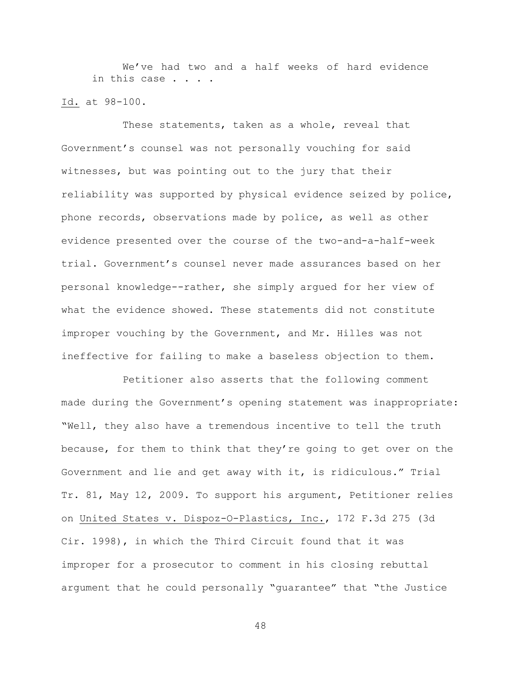We've had two and a half weeks of hard evidence in this case . .

# Id. at 98-100.

These statements, taken as a whole, reveal that Government's counsel was not personally vouching for said witnesses, but was pointing out to the jury that their reliability was supported by physical evidence seized by police, phone records, observations made by police, as well as other evidence presented over the course of the two-and-a-half-week trial. Government's counsel never made assurances based on her personal knowledge--rather, she simply argued for her view of what the evidence showed. These statements did not constitute improper vouching by the Government, and Mr. Hilles was not ineffective for failing to make a baseless objection to them.

Petitioner also asserts that the following comment made during the Government's opening statement was inappropriate: "Well, they also have a tremendous incentive to tell the truth because, for them to think that they're going to get over on the Government and lie and get away with it, is ridiculous." Trial Tr. 81, May 12, 2009. To support his argument, Petitioner relies on United States v. Dispoz-O-Plastics, Inc., 172 F.3d 275 (3d Cir. 1998), in which the Third Circuit found that it was improper for a prosecutor to comment in his closing rebuttal argument that he could personally "guarantee" that "the Justice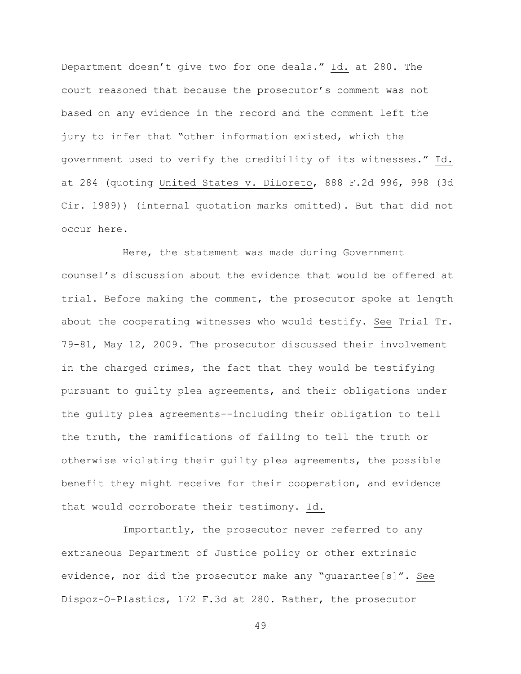Department doesn't give two for one deals." Id. at 280. The court reasoned that because the prosecutor's comment was not based on any evidence in the record and the comment left the jury to infer that "other information existed, which the government used to verify the credibility of its witnesses." Id. at 284 (quoting United States v. DiLoreto, 888 F.2d 996, 998 (3d Cir. 1989)) (internal quotation marks omitted). But that did not occur here.

Here, the statement was made during Government counsel's discussion about the evidence that would be offered at trial. Before making the comment, the prosecutor spoke at length about the cooperating witnesses who would testify. See Trial Tr. 79-81, May 12, 2009. The prosecutor discussed their involvement in the charged crimes, the fact that they would be testifying pursuant to guilty plea agreements, and their obligations under the guilty plea agreements--including their obligation to tell the truth, the ramifications of failing to tell the truth or otherwise violating their guilty plea agreements, the possible benefit they might receive for their cooperation, and evidence that would corroborate their testimony. Id.

Importantly, the prosecutor never referred to any extraneous Department of Justice policy or other extrinsic evidence, nor did the prosecutor make any "guarantee[s]". See Dispoz-O-Plastics, 172 F.3d at 280. Rather, the prosecutor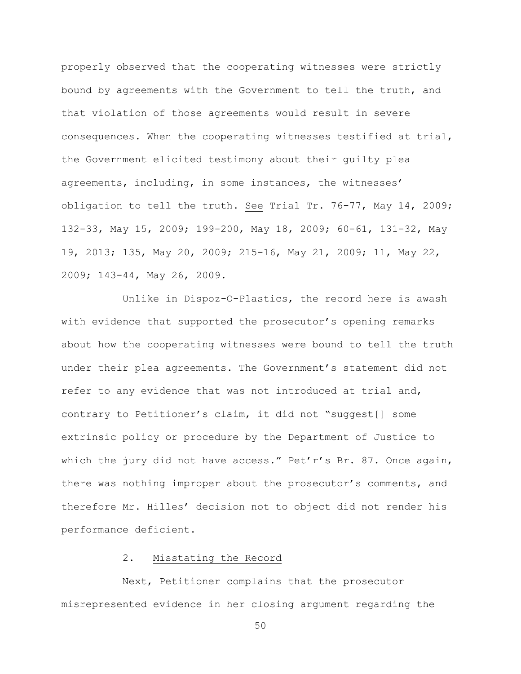properly observed that the cooperating witnesses were strictly bound by agreements with the Government to tell the truth, and that violation of those agreements would result in severe consequences. When the cooperating witnesses testified at trial, the Government elicited testimony about their guilty plea agreements, including, in some instances, the witnesses' obligation to tell the truth. See Trial Tr. 76-77, May 14, 2009; 132-33, May 15, 2009; 199-200, May 18, 2009; 60-61, 131-32, May 19, 2013; 135, May 20, 2009; 215-16, May 21, 2009; 11, May 22, 2009; 143-44, May 26, 2009.

Unlike in Dispoz-O-Plastics, the record here is awash with evidence that supported the prosecutor's opening remarks about how the cooperating witnesses were bound to tell the truth under their plea agreements. The Government's statement did not refer to any evidence that was not introduced at trial and, contrary to Petitioner's claim, it did not "suggest[] some extrinsic policy or procedure by the Department of Justice to which the jury did not have access." Pet'r's Br. 87. Once again, there was nothing improper about the prosecutor's comments, and therefore Mr. Hilles' decision not to object did not render his performance deficient.

# 2. Misstating the Record

Next, Petitioner complains that the prosecutor misrepresented evidence in her closing argument regarding the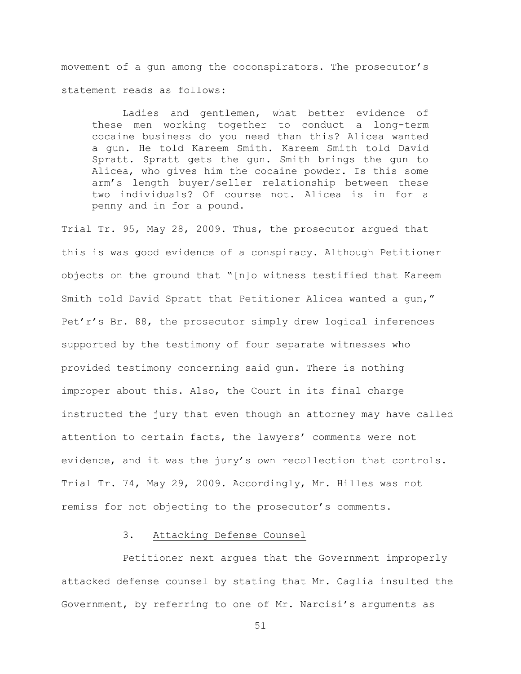movement of a gun among the coconspirators. The prosecutor's statement reads as follows:

Ladies and gentlemen, what better evidence of these men working together to conduct a long-term cocaine business do you need than this? Alicea wanted a gun. He told Kareem Smith. Kareem Smith told David Spratt. Spratt gets the gun. Smith brings the gun to Alicea, who gives him the cocaine powder. Is this some arm's length buyer/seller relationship between these two individuals? Of course not. Alicea is in for a penny and in for a pound.

Trial Tr. 95, May 28, 2009. Thus, the prosecutor argued that this is was good evidence of a conspiracy. Although Petitioner objects on the ground that "[n]o witness testified that Kareem Smith told David Spratt that Petitioner Alicea wanted a gun," Pet'r's Br. 88, the prosecutor simply drew logical inferences supported by the testimony of four separate witnesses who provided testimony concerning said gun. There is nothing improper about this. Also, the Court in its final charge instructed the jury that even though an attorney may have called attention to certain facts, the lawyers' comments were not evidence, and it was the jury's own recollection that controls. Trial Tr. 74, May 29, 2009. Accordingly, Mr. Hilles was not remiss for not objecting to the prosecutor's comments.

# 3. Attacking Defense Counsel

Petitioner next argues that the Government improperly attacked defense counsel by stating that Mr. Caglia insulted the Government, by referring to one of Mr. Narcisi's arguments as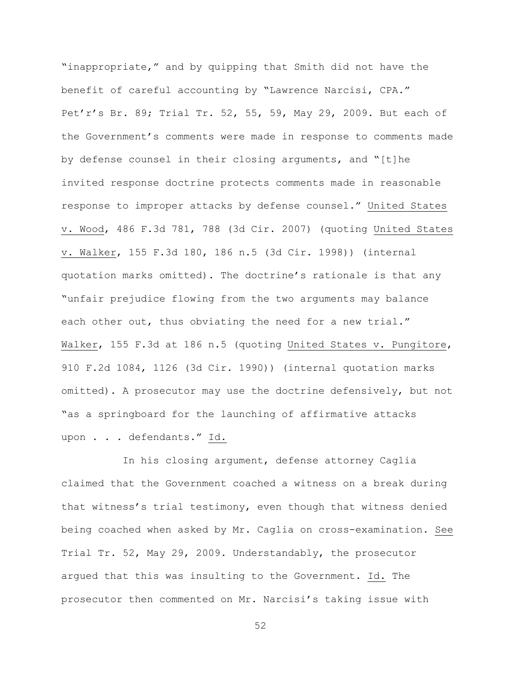"inappropriate," and by quipping that Smith did not have the benefit of careful accounting by "Lawrence Narcisi, CPA." Pet'r's Br. 89; Trial Tr. 52, 55, 59, May 29, 2009. But each of the Government's comments were made in response to comments made by defense counsel in their closing arguments, and "[t]he invited response doctrine protects comments made in reasonable response to improper attacks by defense counsel." United States v. Wood, 486 F.3d 781, 788 (3d Cir. 2007) (quoting United States v. Walker, 155 F.3d 180, 186 n.5 (3d Cir. 1998)) (internal quotation marks omitted). The doctrine's rationale is that any "unfair prejudice flowing from the two arguments may balance each other out, thus obviating the need for a new trial." Walker, 155 F.3d at 186 n.5 (quoting United States v. Pungitore, 910 F.2d 1084, 1126 (3d Cir. 1990)) (internal quotation marks omitted). A prosecutor may use the doctrine defensively, but not "as a springboard for the launching of affirmative attacks upon . . . defendants." Id.

In his closing argument, defense attorney Caglia claimed that the Government coached a witness on a break during that witness's trial testimony, even though that witness denied being coached when asked by Mr. Caglia on cross-examination. See Trial Tr. 52, May 29, 2009. Understandably, the prosecutor argued that this was insulting to the Government. Id. The prosecutor then commented on Mr. Narcisi's taking issue with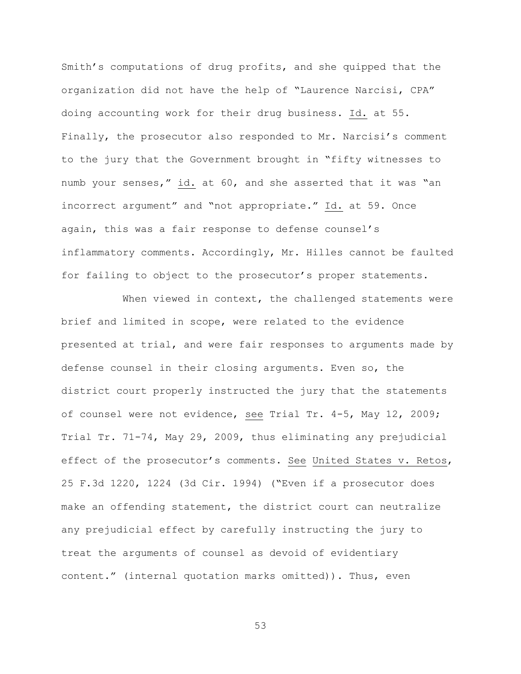Smith's computations of drug profits, and she quipped that the organization did not have the help of "Laurence Narcisi, CPA" doing accounting work for their drug business. Id. at 55. Finally, the prosecutor also responded to Mr. Narcisi's comment to the jury that the Government brought in "fifty witnesses to numb your senses," id. at 60, and she asserted that it was "an incorrect argument" and "not appropriate." Id. at 59. Once again, this was a fair response to defense counsel's inflammatory comments. Accordingly, Mr. Hilles cannot be faulted for failing to object to the prosecutor's proper statements.

When viewed in context, the challenged statements were brief and limited in scope, were related to the evidence presented at trial, and were fair responses to arguments made by defense counsel in their closing arguments. Even so, the district court properly instructed the jury that the statements of counsel were not evidence, see Trial Tr. 4-5, May 12, 2009; Trial Tr. 71-74, May 29, 2009, thus eliminating any prejudicial effect of the prosecutor's comments. See United States v. Retos, 25 F.3d 1220, 1224 (3d Cir. 1994) ("Even if a prosecutor does make an offending statement, the district court can neutralize any prejudicial effect by carefully instructing the jury to treat the arguments of counsel as devoid of evidentiary content." (internal quotation marks omitted)). Thus, even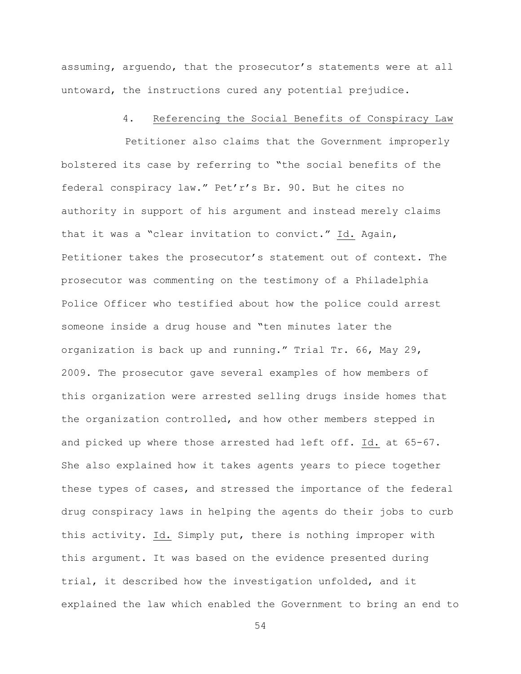assuming, arguendo, that the prosecutor's statements were at all untoward, the instructions cured any potential prejudice.

### 4. Referencing the Social Benefits of Conspiracy Law

Petitioner also claims that the Government improperly bolstered its case by referring to "the social benefits of the federal conspiracy law." Pet'r's Br. 90. But he cites no authority in support of his argument and instead merely claims that it was a "clear invitation to convict." Id. Again, Petitioner takes the prosecutor's statement out of context. The prosecutor was commenting on the testimony of a Philadelphia Police Officer who testified about how the police could arrest someone inside a drug house and "ten minutes later the organization is back up and running." Trial Tr. 66, May 29, 2009. The prosecutor gave several examples of how members of this organization were arrested selling drugs inside homes that the organization controlled, and how other members stepped in and picked up where those arrested had left off. Id. at 65-67. She also explained how it takes agents years to piece together these types of cases, and stressed the importance of the federal drug conspiracy laws in helping the agents do their jobs to curb this activity. Id. Simply put, there is nothing improper with this argument. It was based on the evidence presented during trial, it described how the investigation unfolded, and it explained the law which enabled the Government to bring an end to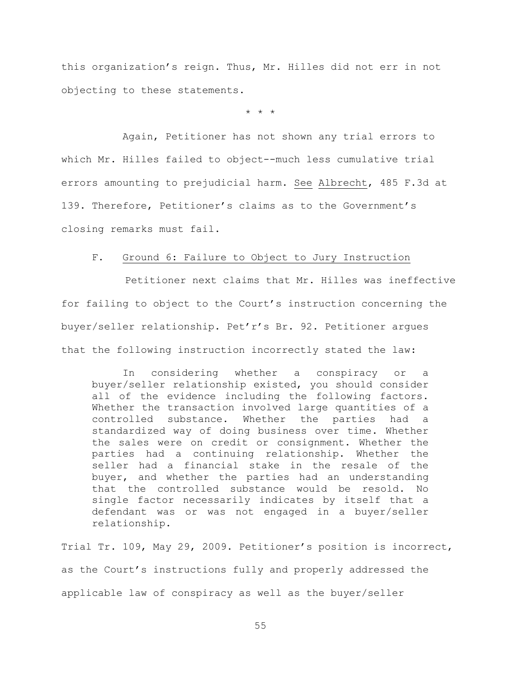this organization's reign. Thus, Mr. Hilles did not err in not objecting to these statements.

\* \* \*

Again, Petitioner has not shown any trial errors to which Mr. Hilles failed to object--much less cumulative trial errors amounting to prejudicial harm. See Albrecht, 485 F.3d at 139. Therefore, Petitioner's claims as to the Government's closing remarks must fail.

# F. Ground 6: Failure to Object to Jury Instruction

Petitioner next claims that Mr. Hilles was ineffective for failing to object to the Court's instruction concerning the buyer/seller relationship. Pet'r's Br. 92. Petitioner argues that the following instruction incorrectly stated the law:

In considering whether a conspiracy or a buyer/seller relationship existed, you should consider all of the evidence including the following factors. Whether the transaction involved large quantities of a controlled substance. Whether the parties had a standardized way of doing business over time. Whether the sales were on credit or consignment. Whether the parties had a continuing relationship. Whether the seller had a financial stake in the resale of the buyer, and whether the parties had an understanding that the controlled substance would be resold. No single factor necessarily indicates by itself that a defendant was or was not engaged in a buyer/seller relationship.

Trial Tr. 109, May 29, 2009. Petitioner's position is incorrect, as the Court's instructions fully and properly addressed the applicable law of conspiracy as well as the buyer/seller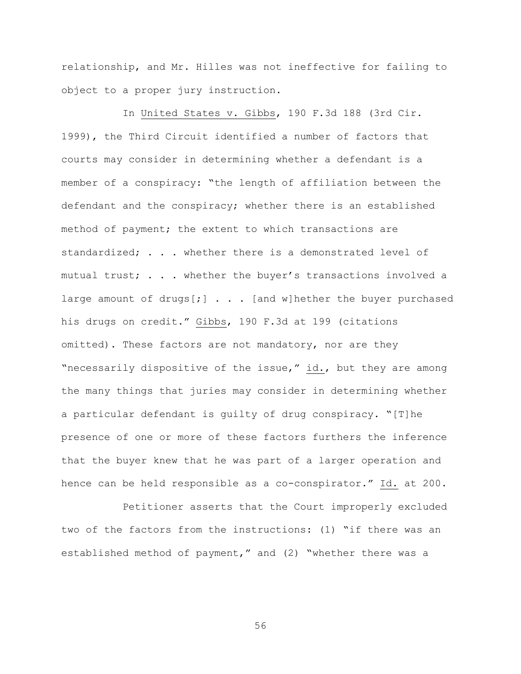relationship, and Mr. Hilles was not ineffective for failing to object to a proper jury instruction.

In United States v. Gibbs, 190 F.3d 188 (3rd Cir. 1999), the Third Circuit identified a number of factors that courts may consider in determining whether a defendant is a member of a conspiracy: "the length of affiliation between the defendant and the conspiracy; whether there is an established method of payment; the extent to which transactions are standardized; . . . whether there is a demonstrated level of mutual trust; . . . whether the buyer's transactions involved a large amount of drugs[;] . . . [and w] hether the buyer purchased his drugs on credit." Gibbs, 190 F.3d at 199 (citations omitted). These factors are not mandatory, nor are they "necessarily dispositive of the issue," id., but they are among the many things that juries may consider in determining whether a particular defendant is guilty of drug conspiracy. "[T]he presence of one or more of these factors furthers the inference that the buyer knew that he was part of a larger operation and hence can be held responsible as a co-conspirator." Id. at 200.

Petitioner asserts that the Court improperly excluded two of the factors from the instructions: (1) "if there was an established method of payment," and (2) "whether there was a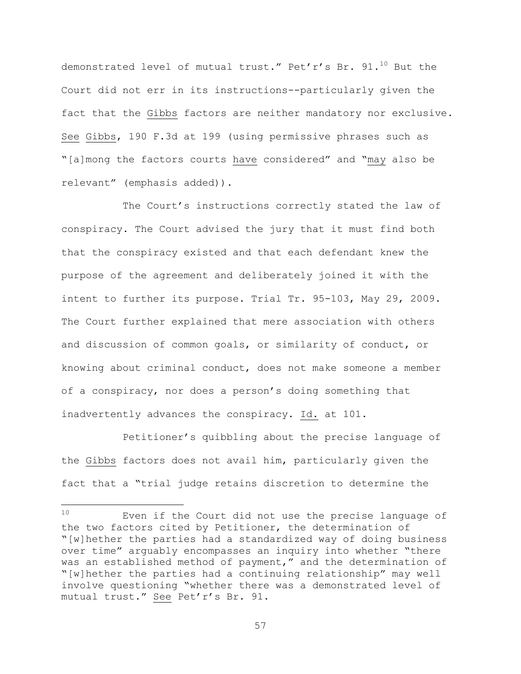demonstrated level of mutual trust." Pet'r's Br.  $91.^{10}$  But the Court did not err in its instructions--particularly given the fact that the Gibbs factors are neither mandatory nor exclusive. See Gibbs, 190 F.3d at 199 (using permissive phrases such as "[a]mong the factors courts have considered" and "may also be relevant" (emphasis added)).

The Court's instructions correctly stated the law of conspiracy. The Court advised the jury that it must find both that the conspiracy existed and that each defendant knew the purpose of the agreement and deliberately joined it with the intent to further its purpose. Trial Tr. 95-103, May 29, 2009. The Court further explained that mere association with others and discussion of common goals, or similarity of conduct, or knowing about criminal conduct, does not make someone a member of a conspiracy, nor does a person's doing something that inadvertently advances the conspiracy. Id. at 101.

Petitioner's quibbling about the precise language of the Gibbs factors does not avail him, particularly given the fact that a "trial judge retains discretion to determine the

a<br>B

<sup>10</sup> Even if the Court did not use the precise language of the two factors cited by Petitioner, the determination of "[w]hether the parties had a standardized way of doing business over time" arguably encompasses an inquiry into whether "there was an established method of payment," and the determination of "[w]hether the parties had a continuing relationship" may well involve questioning "whether there was a demonstrated level of mutual trust." See Pet'r's Br. 91.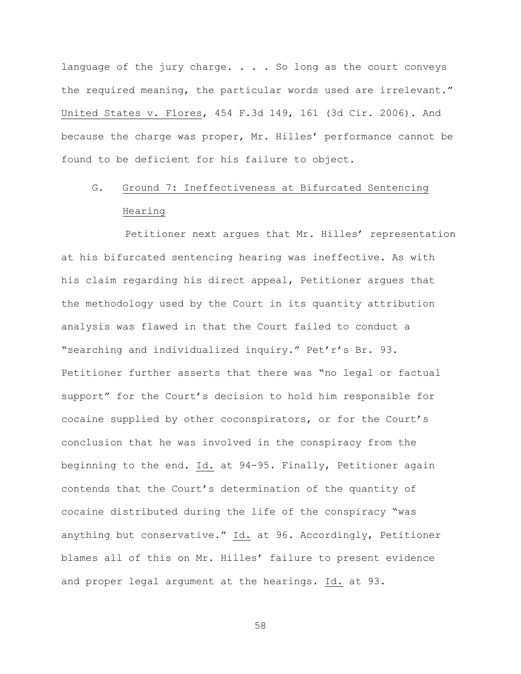language of the jury charge. . . . So long as the court conveys the required meaning, the particular words used are irrelevant." United States v. Flores, 454 F.3d 149, 161 (3d Cir. 2006). And because the charge was proper, Mr. Hilles' performance cannot be found to be deficient for his failure to object.

# G. Ground 7: Ineffectiveness at Bifurcated Sentencing Hearing

Petitioner next argues that Mr. Hilles' representation at his bifurcated sentencing hearing was ineffective. As with his claim regarding his direct appeal, Petitioner argues that the methodology used by the Court in its quantity attribution analysis was flawed in that the Court failed to conduct a "searching and individualized inquiry." Pet'r's Br. 93. Petitioner further asserts that there was "no legal or factual support" for the Court's decision to hold him responsible for cocaine supplied by other coconspirators, or for the Court's conclusion that he was involved in the conspiracy from the beginning to the end. Id. at 94-95. Finally, Petitioner again contends that the Court's determination of the quantity of cocaine distributed during the life of the conspiracy "was anything but conservative." Id. at 96. Accordingly, Petitioner blames all of this on Mr. Hilles' failure to present evidence and proper legal argument at the hearings. Id. at 93.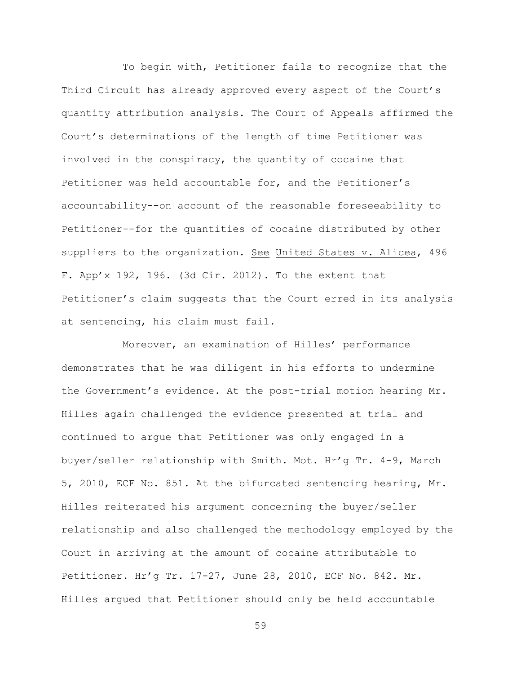To begin with, Petitioner fails to recognize that the Third Circuit has already approved every aspect of the Court's quantity attribution analysis. The Court of Appeals affirmed the Court's determinations of the length of time Petitioner was involved in the conspiracy, the quantity of cocaine that Petitioner was held accountable for, and the Petitioner's accountability--on account of the reasonable foreseeability to Petitioner--for the quantities of cocaine distributed by other suppliers to the organization. See United States v. Alicea, 496 F. App'x 192, 196. (3d Cir. 2012). To the extent that Petitioner's claim suggests that the Court erred in its analysis at sentencing, his claim must fail.

Moreover, an examination of Hilles' performance demonstrates that he was diligent in his efforts to undermine the Government's evidence. At the post-trial motion hearing Mr. Hilles again challenged the evidence presented at trial and continued to argue that Petitioner was only engaged in a buyer/seller relationship with Smith. Mot. Hr'g Tr. 4-9, March 5, 2010, ECF No. 851. At the bifurcated sentencing hearing, Mr. Hilles reiterated his argument concerning the buyer/seller relationship and also challenged the methodology employed by the Court in arriving at the amount of cocaine attributable to Petitioner. Hr'g Tr. 17-27, June 28, 2010, ECF No. 842. Mr. Hilles argued that Petitioner should only be held accountable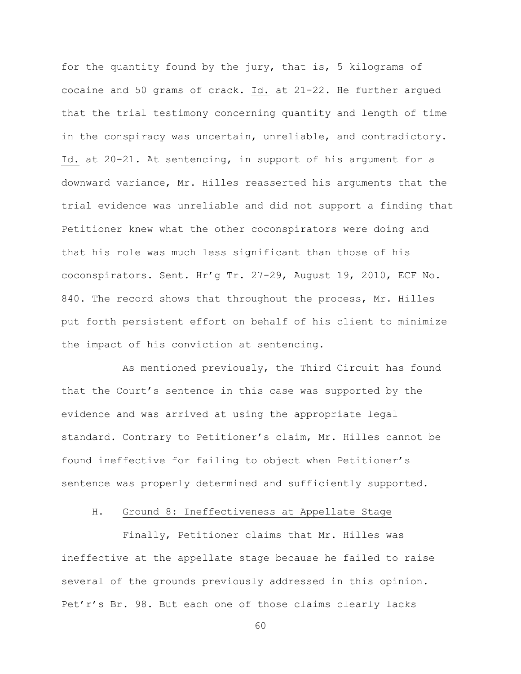for the quantity found by the jury, that is, 5 kilograms of cocaine and 50 grams of crack. Id. at 21-22. He further argued that the trial testimony concerning quantity and length of time in the conspiracy was uncertain, unreliable, and contradictory. Id. at 20-21. At sentencing, in support of his argument for a downward variance, Mr. Hilles reasserted his arguments that the trial evidence was unreliable and did not support a finding that Petitioner knew what the other coconspirators were doing and that his role was much less significant than those of his coconspirators. Sent. Hr'g Tr. 27-29, August 19, 2010, ECF No. 840. The record shows that throughout the process, Mr. Hilles put forth persistent effort on behalf of his client to minimize the impact of his conviction at sentencing.

As mentioned previously, the Third Circuit has found that the Court's sentence in this case was supported by the evidence and was arrived at using the appropriate legal standard. Contrary to Petitioner's claim, Mr. Hilles cannot be found ineffective for failing to object when Petitioner's sentence was properly determined and sufficiently supported.

# H. Ground 8: Ineffectiveness at Appellate Stage

Finally, Petitioner claims that Mr. Hilles was ineffective at the appellate stage because he failed to raise several of the grounds previously addressed in this opinion. Pet'r's Br. 98. But each one of those claims clearly lacks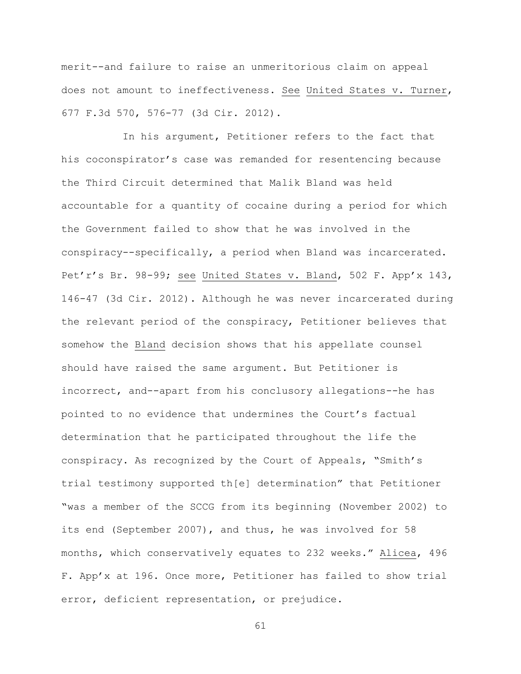merit--and failure to raise an unmeritorious claim on appeal does not amount to ineffectiveness. See United States v. Turner, 677 F.3d 570, 576-77 (3d Cir. 2012).

In his argument, Petitioner refers to the fact that his coconspirator's case was remanded for resentencing because the Third Circuit determined that Malik Bland was held accountable for a quantity of cocaine during a period for which the Government failed to show that he was involved in the conspiracy--specifically, a period when Bland was incarcerated. Pet'r's Br. 98-99; see United States v. Bland, 502 F. App'x 143, 146-47 (3d Cir. 2012). Although he was never incarcerated during the relevant period of the conspiracy, Petitioner believes that somehow the Bland decision shows that his appellate counsel should have raised the same argument. But Petitioner is incorrect, and--apart from his conclusory allegations--he has pointed to no evidence that undermines the Court's factual determination that he participated throughout the life the conspiracy. As recognized by the Court of Appeals, "Smith's trial testimony supported th[e] determination" that Petitioner "was a member of the SCCG from its beginning (November 2002) to its end (September 2007), and thus, he was involved for 58 months, which conservatively equates to 232 weeks." Alicea, 496 F. App'x at 196. Once more, Petitioner has failed to show trial error, deficient representation, or prejudice.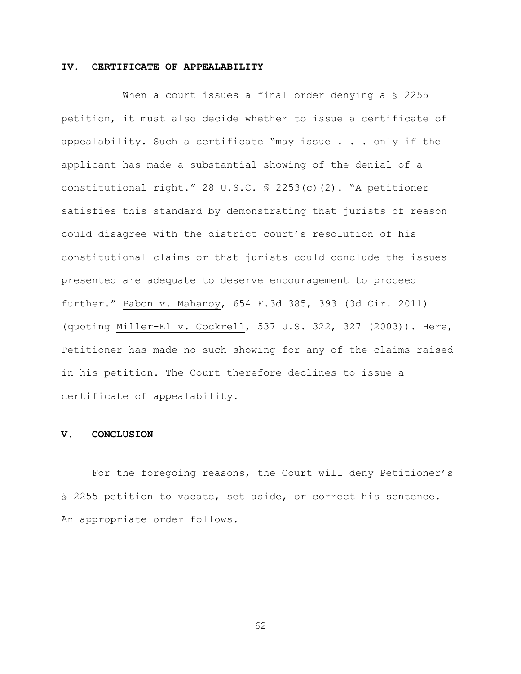## **IV. CERTIFICATE OF APPEALABILITY**

When a court issues a final order denying a \$ 2255 petition, it must also decide whether to issue a certificate of appealability. Such a certificate "may issue . . . only if the applicant has made a substantial showing of the denial of a constitutional right." 28 U.S.C. § 2253(c)(2). "A petitioner satisfies this standard by demonstrating that jurists of reason could disagree with the district court's resolution of his constitutional claims or that jurists could conclude the issues presented are adequate to deserve encouragement to proceed further." Pabon v. Mahanoy, 654 F.3d 385, 393 (3d Cir. 2011) (quoting Miller-El v. Cockrell, 537 U.S. 322, 327 (2003)). Here, Petitioner has made no such showing for any of the claims raised in his petition. The Court therefore declines to issue a certificate of appealability.

### **V. CONCLUSION**

For the foregoing reasons, the Court will deny Petitioner's § 2255 petition to vacate, set aside, or correct his sentence. An appropriate order follows.